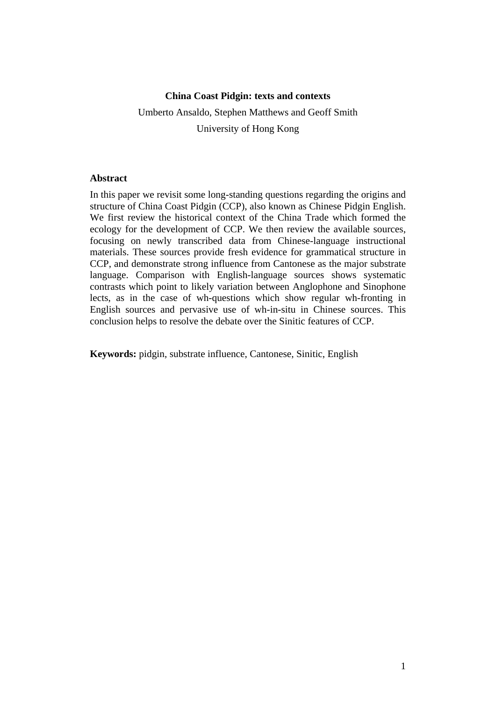## **China Coast Pidgin: texts and contexts**

Umberto Ansaldo, Stephen Matthews and Geoff Smith University of Hong Kong

## **Abstract**

In this paper we revisit some long-standing questions regarding the origins and structure of China Coast Pidgin (CCP), also known as Chinese Pidgin English. We first review the historical context of the China Trade which formed the ecology for the development of CCP. We then review the available sources, focusing on newly transcribed data from Chinese-language instructional materials. These sources provide fresh evidence for grammatical structure in CCP, and demonstrate strong influence from Cantonese as the major substrate language. Comparison with English-language sources shows systematic contrasts which point to likely variation between Anglophone and Sinophone lects, as in the case of wh-questions which show regular wh-fronting in English sources and pervasive use of wh-in-situ in Chinese sources. This conclusion helps to resolve the debate over the Sinitic features of CCP.

**Keywords:** pidgin, substrate influence, Cantonese, Sinitic, English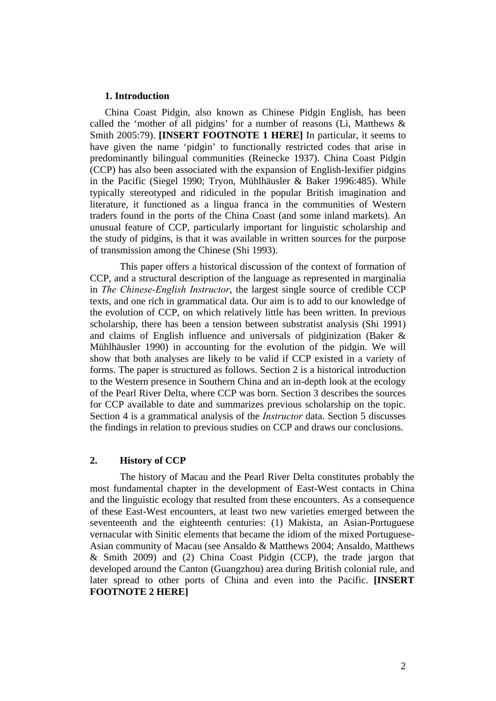#### **1. Introduction**

China Coast Pidgin, also known as Chinese Pidgin English, has been called the 'mother of all pidgins' for a number of reasons (Li, Matthews & Smith 2005:79). **[INSERT FOOTNOTE 1 HERE]** In particular, it seems to have given the name 'pidgin' to functionally restricted codes that arise in predominantly bilingual communities (Reinecke 1937). China Coast Pidgin (CCP) has also been associated with the expansion of English-lexifier pidgins in the Pacific (Siegel 1990; Tryon, Mühlhäusler & Baker 1996:485). While typically stereotyped and ridiculed in the popular British imagination and literature, it functioned as a lingua franca in the communities of Western traders found in the ports of the China Coast (and some inland markets). An unusual feature of CCP, particularly important for linguistic scholarship and the study of pidgins, is that it was available in written sources for the purpose of transmission among the Chinese (Shi 1993).

 This paper offers a historical discussion of the context of formation of CCP, and a structural description of the language as represented in marginalia in *The Chinese-English Instructor*, the largest single source of credible CCP texts, and one rich in grammatical data. Our aim is to add to our knowledge of the evolution of CCP, on which relatively little has been written. In previous scholarship, there has been a tension between substratist analysis (Shi 1991) and claims of English influence and universals of pidginization (Baker & Mühlhäusler 1990) in accounting for the evolution of the pidgin. We will show that both analyses are likely to be valid if CCP existed in a variety of forms. The paper is structured as follows. Section 2 is a historical introduction to the Western presence in Southern China and an in-depth look at the ecology of the Pearl River Delta, where CCP was born. Section 3 describes the sources for CCP available to date and summarizes previous scholarship on the topic. Section 4 is a grammatical analysis of the *Instructor* data. Section 5 discusses the findings in relation to previous studies on CCP and draws our conclusions.

#### **2. History of CCP**

 The history of Macau and the Pearl River Delta constitutes probably the most fundamental chapter in the development of East-West contacts in China and the linguistic ecology that resulted from these encounters. As a consequence of these East-West encounters, at least two new varieties emerged between the seventeenth and the eighteenth centuries: (1) Makista, an Asian-Portuguese vernacular with Sinitic elements that became the idiom of the mixed Portuguese-Asian community of Macau (see Ansaldo & Matthews 2004; Ansaldo, Matthews & Smith 2009) and (2) China Coast Pidgin (CCP), the trade jargon that developed around the Canton (Guangzhou) area during British colonial rule, and later spread to other ports of China and even into the Pacific. **[INSERT FOOTNOTE 2 HERE]**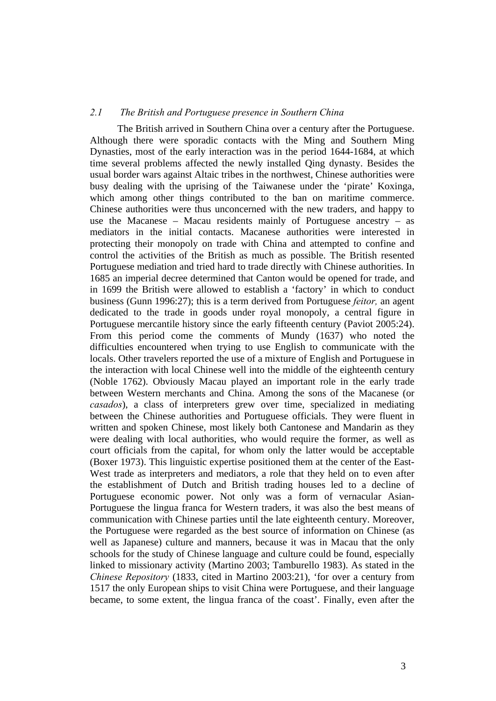## *2.1 The British and Portuguese presence in Southern China*

 The British arrived in Southern China over a century after the Portuguese. Although there were sporadic contacts with the Ming and Southern Ming Dynasties, most of the early interaction was in the period 1644-1684, at which time several problems affected the newly installed Qing dynasty. Besides the usual border wars against Altaic tribes in the northwest, Chinese authorities were busy dealing with the uprising of the Taiwanese under the 'pirate' Koxinga, which among other things contributed to the ban on maritime commerce. Chinese authorities were thus unconcerned with the new traders, and happy to use the Macanese – Macau residents mainly of Portuguese ancestry – as mediators in the initial contacts. Macanese authorities were interested in protecting their monopoly on trade with China and attempted to confine and control the activities of the British as much as possible. The British resented Portuguese mediation and tried hard to trade directly with Chinese authorities. In 1685 an imperial decree determined that Canton would be opened for trade, and in 1699 the British were allowed to establish a 'factory' in which to conduct business (Gunn 1996:27); this is a term derived from Portuguese *feitor,* an agent dedicated to the trade in goods under royal monopoly, a central figure in Portuguese mercantile history since the early fifteenth century (Paviot 2005:24). From this period come the comments of Mundy (1637) who noted the difficulties encountered when trying to use English to communicate with the locals. Other travelers reported the use of a mixture of English and Portuguese in the interaction with local Chinese well into the middle of the eighteenth century (Noble 1762). Obviously Macau played an important role in the early trade between Western merchants and China. Among the sons of the Macanese (or *casados*), a class of interpreters grew over time, specialized in mediating between the Chinese authorities and Portuguese officials. They were fluent in written and spoken Chinese, most likely both Cantonese and Mandarin as they were dealing with local authorities, who would require the former, as well as court officials from the capital, for whom only the latter would be acceptable (Boxer 1973). This linguistic expertise positioned them at the center of the East-West trade as interpreters and mediators, a role that they held on to even after the establishment of Dutch and British trading houses led to a decline of Portuguese economic power. Not only was a form of vernacular Asian-Portuguese the lingua franca for Western traders, it was also the best means of communication with Chinese parties until the late eighteenth century. Moreover, the Portuguese were regarded as the best source of information on Chinese (as well as Japanese) culture and manners, because it was in Macau that the only schools for the study of Chinese language and culture could be found, especially linked to missionary activity (Martino 2003; Tamburello 1983). As stated in the *Chinese Repository* (1833, cited in Martino 2003:21), 'for over a century from 1517 the only European ships to visit China were Portuguese, and their language became, to some extent, the lingua franca of the coast'. Finally, even after the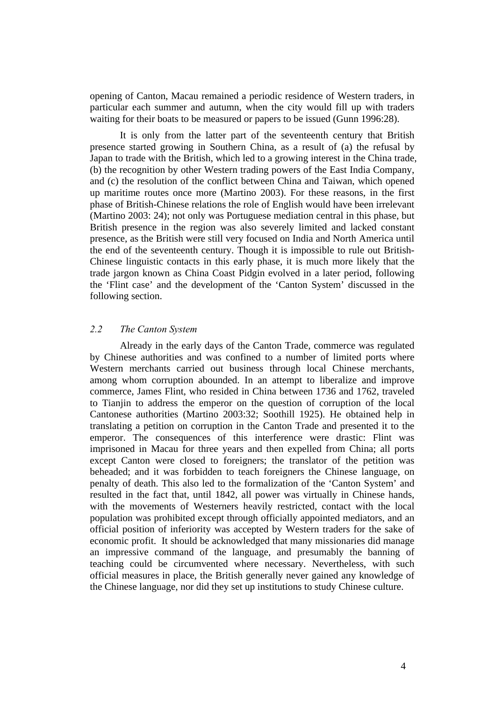opening of Canton, Macau remained a periodic residence of Western traders, in particular each summer and autumn, when the city would fill up with traders waiting for their boats to be measured or papers to be issued (Gunn 1996:28).

 It is only from the latter part of the seventeenth century that British presence started growing in Southern China, as a result of (a) the refusal by Japan to trade with the British, which led to a growing interest in the China trade, (b) the recognition by other Western trading powers of the East India Company, and (c) the resolution of the conflict between China and Taiwan, which opened up maritime routes once more (Martino 2003). For these reasons, in the first phase of British-Chinese relations the role of English would have been irrelevant (Martino 2003: 24); not only was Portuguese mediation central in this phase, but British presence in the region was also severely limited and lacked constant presence, as the British were still very focused on India and North America until the end of the seventeenth century. Though it is impossible to rule out British-Chinese linguistic contacts in this early phase, it is much more likely that the trade jargon known as China Coast Pidgin evolved in a later period, following the 'Flint case' and the development of the 'Canton System' discussed in the following section.

## *2.2 The Canton System*

 Already in the early days of the Canton Trade, commerce was regulated by Chinese authorities and was confined to a number of limited ports where Western merchants carried out business through local Chinese merchants, among whom corruption abounded. In an attempt to liberalize and improve commerce, James Flint, who resided in China between 1736 and 1762, traveled to Tianjin to address the emperor on the question of corruption of the local Cantonese authorities (Martino 2003:32; Soothill 1925). He obtained help in translating a petition on corruption in the Canton Trade and presented it to the emperor. The consequences of this interference were drastic: Flint was imprisoned in Macau for three years and then expelled from China; all ports except Canton were closed to foreigners; the translator of the petition was beheaded; and it was forbidden to teach foreigners the Chinese language, on penalty of death. This also led to the formalization of the 'Canton System' and resulted in the fact that, until 1842, all power was virtually in Chinese hands, with the movements of Westerners heavily restricted, contact with the local population was prohibited except through officially appointed mediators, and an official position of inferiority was accepted by Western traders for the sake of economic profit. It should be acknowledged that many missionaries did manage an impressive command of the language, and presumably the banning of teaching could be circumvented where necessary. Nevertheless, with such official measures in place, the British generally never gained any knowledge of the Chinese language, nor did they set up institutions to study Chinese culture.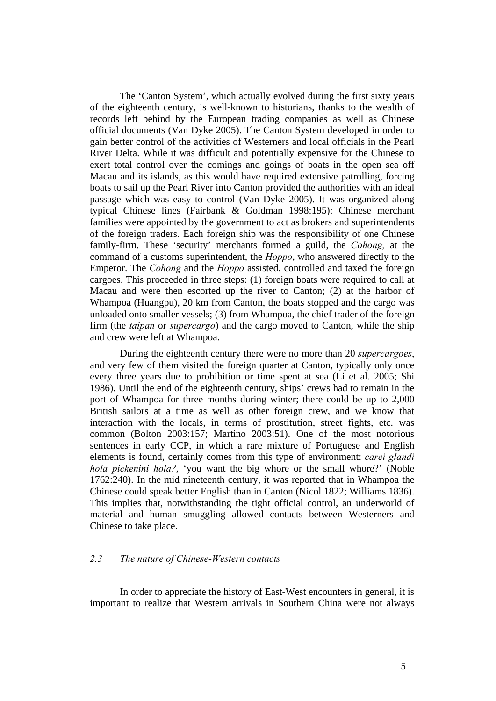The 'Canton System', which actually evolved during the first sixty years of the eighteenth century, is well-known to historians, thanks to the wealth of records left behind by the European trading companies as well as Chinese official documents (Van Dyke 2005). The Canton System developed in order to gain better control of the activities of Westerners and local officials in the Pearl River Delta. While it was difficult and potentially expensive for the Chinese to exert total control over the comings and goings of boats in the open sea off Macau and its islands, as this would have required extensive patrolling, forcing boats to sail up the Pearl River into Canton provided the authorities with an ideal passage which was easy to control (Van Dyke 2005). It was organized along typical Chinese lines (Fairbank & Goldman 1998:195): Chinese merchant families were appointed by the government to act as brokers and superintendents of the foreign traders. Each foreign ship was the responsibility of one Chinese family-firm. These 'security' merchants formed a guild, the *Cohong,* at the command of a customs superintendent, the *Hoppo*, who answered directly to the Emperor. The *Cohong* and the *Hoppo* assisted, controlled and taxed the foreign cargoes. This proceeded in three steps: (1) foreign boats were required to call at Macau and were then escorted up the river to Canton; (2) at the harbor of Whampoa (Huangpu), 20 km from Canton, the boats stopped and the cargo was unloaded onto smaller vessels; (3) from Whampoa, the chief trader of the foreign firm (the *taipan* or *supercargo*) and the cargo moved to Canton, while the ship and crew were left at Whampoa.

 During the eighteenth century there were no more than 20 *supercargoes*, and very few of them visited the foreign quarter at Canton, typically only once every three years due to prohibition or time spent at sea (Li et al. 2005; Shi 1986). Until the end of the eighteenth century, ships' crews had to remain in the port of Whampoa for three months during winter; there could be up to 2,000 British sailors at a time as well as other foreign crew, and we know that interaction with the locals, in terms of prostitution, street fights, etc. was common (Bolton 2003:157; Martino 2003:51). One of the most notorious sentences in early CCP, in which a rare mixture of Portuguese and English elements is found, certainly comes from this type of environment: *carei glandi hola pickenini hola?*, 'you want the big whore or the small whore?' (Noble 1762:240). In the mid nineteenth century, it was reported that in Whampoa the Chinese could speak better English than in Canton (Nicol 1822; Williams 1836). This implies that, notwithstanding the tight official control, an underworld of material and human smuggling allowed contacts between Westerners and Chinese to take place.

## *2.3 The nature of Chinese-Western contacts*

 In order to appreciate the history of East-West encounters in general, it is important to realize that Western arrivals in Southern China were not always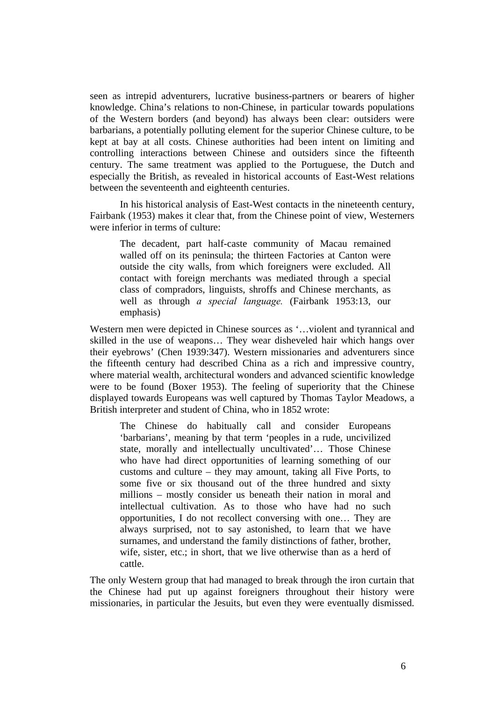seen as intrepid adventurers, lucrative business-partners or bearers of higher knowledge. China's relations to non-Chinese, in particular towards populations of the Western borders (and beyond) has always been clear: outsiders were barbarians, a potentially polluting element for the superior Chinese culture, to be kept at bay at all costs. Chinese authorities had been intent on limiting and controlling interactions between Chinese and outsiders since the fifteenth century. The same treatment was applied to the Portuguese, the Dutch and especially the British, as revealed in historical accounts of East-West relations between the seventeenth and eighteenth centuries.

 In his historical analysis of East-West contacts in the nineteenth century, Fairbank (1953) makes it clear that, from the Chinese point of view, Westerners were inferior in terms of culture:

The decadent, part half-caste community of Macau remained walled off on its peninsula; the thirteen Factories at Canton were outside the city walls, from which foreigners were excluded. All contact with foreign merchants was mediated through a special class of compradors, linguists, shroffs and Chinese merchants, as well as through *a special language.* (Fairbank 1953:13, our emphasis)

Western men were depicted in Chinese sources as '…violent and tyrannical and skilled in the use of weapons… They wear disheveled hair which hangs over their eyebrows' (Chen 1939:347). Western missionaries and adventurers since the fifteenth century had described China as a rich and impressive country, where material wealth, architectural wonders and advanced scientific knowledge were to be found (Boxer 1953). The feeling of superiority that the Chinese displayed towards Europeans was well captured by Thomas Taylor Meadows, a British interpreter and student of China, who in 1852 wrote:

The Chinese do habitually call and consider Europeans 'barbarians', meaning by that term 'peoples in a rude, uncivilized state, morally and intellectually uncultivated'… Those Chinese who have had direct opportunities of learning something of our customs and culture – they may amount, taking all Five Ports, to some five or six thousand out of the three hundred and sixty millions – mostly consider us beneath their nation in moral and intellectual cultivation. As to those who have had no such opportunities, I do not recollect conversing with one… They are always surprised, not to say astonished, to learn that we have surnames, and understand the family distinctions of father, brother, wife, sister, etc.; in short, that we live otherwise than as a herd of cattle.

The only Western group that had managed to break through the iron curtain that the Chinese had put up against foreigners throughout their history were missionaries, in particular the Jesuits, but even they were eventually dismissed.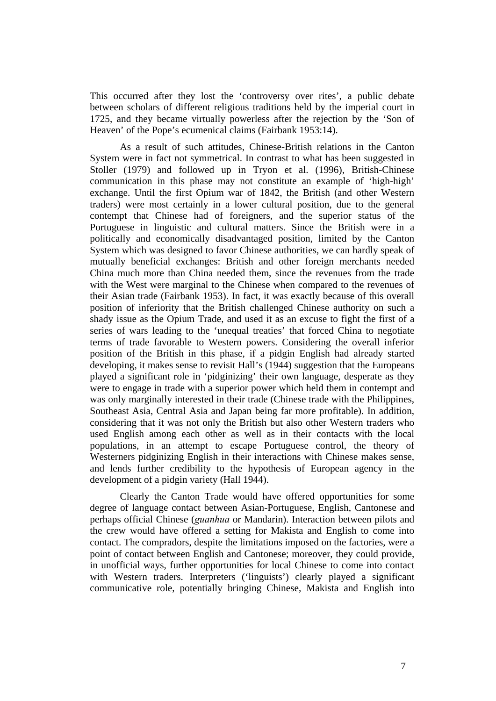This occurred after they lost the 'controversy over rites', a public debate between scholars of different religious traditions held by the imperial court in 1725, and they became virtually powerless after the rejection by the 'Son of Heaven' of the Pope's ecumenical claims (Fairbank 1953:14).

 As a result of such attitudes, Chinese-British relations in the Canton System were in fact not symmetrical. In contrast to what has been suggested in Stoller (1979) and followed up in Tryon et al. (1996), British-Chinese communication in this phase may not constitute an example of 'high-high' exchange. Until the first Opium war of 1842, the British (and other Western traders) were most certainly in a lower cultural position, due to the general contempt that Chinese had of foreigners, and the superior status of the Portuguese in linguistic and cultural matters. Since the British were in a politically and economically disadvantaged position, limited by the Canton System which was designed to favor Chinese authorities, we can hardly speak of mutually beneficial exchanges: British and other foreign merchants needed China much more than China needed them, since the revenues from the trade with the West were marginal to the Chinese when compared to the revenues of their Asian trade (Fairbank 1953). In fact, it was exactly because of this overall position of inferiority that the British challenged Chinese authority on such a shady issue as the Opium Trade, and used it as an excuse to fight the first of a series of wars leading to the 'unequal treaties' that forced China to negotiate terms of trade favorable to Western powers. Considering the overall inferior position of the British in this phase, if a pidgin English had already started developing, it makes sense to revisit Hall's (1944) suggestion that the Europeans played a significant role in 'pidginizing' their own language, desperate as they were to engage in trade with a superior power which held them in contempt and was only marginally interested in their trade (Chinese trade with the Philippines, Southeast Asia, Central Asia and Japan being far more profitable). In addition, considering that it was not only the British but also other Western traders who used English among each other as well as in their contacts with the local populations, in an attempt to escape Portuguese control, the theory of Westerners pidginizing English in their interactions with Chinese makes sense, and lends further credibility to the hypothesis of European agency in the development of a pidgin variety (Hall 1944).

 Clearly the Canton Trade would have offered opportunities for some degree of language contact between Asian-Portuguese, English, Cantonese and perhaps official Chinese (*guanhua* or Mandarin). Interaction between pilots and the crew would have offered a setting for Makista and English to come into contact. The compradors, despite the limitations imposed on the factories, were a point of contact between English and Cantonese; moreover, they could provide, in unofficial ways, further opportunities for local Chinese to come into contact with Western traders. Interpreters ('linguists') clearly played a significant communicative role, potentially bringing Chinese, Makista and English into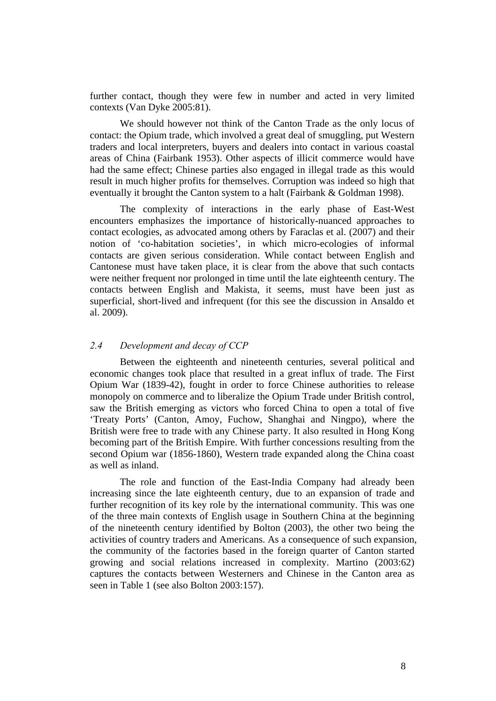further contact, though they were few in number and acted in very limited contexts (Van Dyke 2005:81).

 We should however not think of the Canton Trade as the only locus of contact: the Opium trade, which involved a great deal of smuggling, put Western traders and local interpreters, buyers and dealers into contact in various coastal areas of China (Fairbank 1953). Other aspects of illicit commerce would have had the same effect; Chinese parties also engaged in illegal trade as this would result in much higher profits for themselves. Corruption was indeed so high that eventually it brought the Canton system to a halt (Fairbank & Goldman 1998).

 The complexity of interactions in the early phase of East-West encounters emphasizes the importance of historically-nuanced approaches to contact ecologies, as advocated among others by Faraclas et al. (2007) and their notion of 'co-habitation societies', in which micro-ecologies of informal contacts are given serious consideration. While contact between English and Cantonese must have taken place, it is clear from the above that such contacts were neither frequent nor prolonged in time until the late eighteenth century. The contacts between English and Makista, it seems, must have been just as superficial, short-lived and infrequent (for this see the discussion in Ansaldo et al. 2009).

## *2.4 Development and decay of CCP*

 Between the eighteenth and nineteenth centuries, several political and economic changes took place that resulted in a great influx of trade. The First Opium War (1839-42), fought in order to force Chinese authorities to release monopoly on commerce and to liberalize the Opium Trade under British control, saw the British emerging as victors who forced China to open a total of five 'Treaty Ports' (Canton, Amoy, Fuchow, Shanghai and Ningpo), where the British were free to trade with any Chinese party. It also resulted in Hong Kong becoming part of the British Empire. With further concessions resulting from the second Opium war (1856-1860), Western trade expanded along the China coast as well as inland.

 The role and function of the East-India Company had already been increasing since the late eighteenth century, due to an expansion of trade and further recognition of its key role by the international community. This was one of the three main contexts of English usage in Southern China at the beginning of the nineteenth century identified by Bolton (2003), the other two being the activities of country traders and Americans. As a consequence of such expansion, the community of the factories based in the foreign quarter of Canton started growing and social relations increased in complexity. Martino (2003:62) captures the contacts between Westerners and Chinese in the Canton area as seen in Table 1 (see also Bolton 2003:157).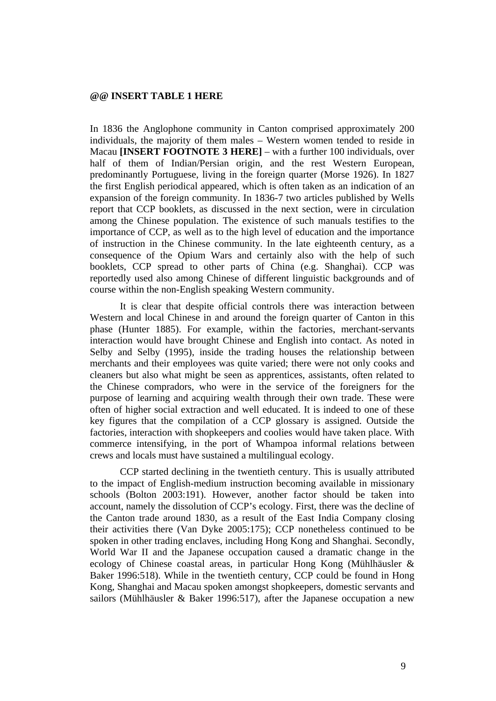## **@@ INSERT TABLE 1 HERE**

In 1836 the Anglophone community in Canton comprised approximately 200 individuals, the majority of them males – Western women tended to reside in Macau **[INSERT FOOTNOTE 3 HERE]** – with a further 100 individuals, over half of them of Indian/Persian origin, and the rest Western European, predominantly Portuguese, living in the foreign quarter (Morse 1926). In 1827 the first English periodical appeared, which is often taken as an indication of an expansion of the foreign community. In 1836-7 two articles published by Wells report that CCP booklets, as discussed in the next section, were in circulation among the Chinese population. The existence of such manuals testifies to the importance of CCP, as well as to the high level of education and the importance of instruction in the Chinese community. In the late eighteenth century, as a consequence of the Opium Wars and certainly also with the help of such booklets, CCP spread to other parts of China (e.g. Shanghai). CCP was reportedly used also among Chinese of different linguistic backgrounds and of course within the non-English speaking Western community.

 It is clear that despite official controls there was interaction between Western and local Chinese in and around the foreign quarter of Canton in this phase (Hunter 1885). For example, within the factories, merchant-servants interaction would have brought Chinese and English into contact. As noted in Selby and Selby (1995), inside the trading houses the relationship between merchants and their employees was quite varied; there were not only cooks and cleaners but also what might be seen as apprentices, assistants, often related to the Chinese compradors, who were in the service of the foreigners for the purpose of learning and acquiring wealth through their own trade. These were often of higher social extraction and well educated. It is indeed to one of these key figures that the compilation of a CCP glossary is assigned. Outside the factories, interaction with shopkeepers and coolies would have taken place. With commerce intensifying, in the port of Whampoa informal relations between crews and locals must have sustained a multilingual ecology.

 CCP started declining in the twentieth century. This is usually attributed to the impact of English-medium instruction becoming available in missionary schools (Bolton 2003:191). However, another factor should be taken into account, namely the dissolution of CCP's ecology. First, there was the decline of the Canton trade around 1830, as a result of the East India Company closing their activities there (Van Dyke 2005:175); CCP nonetheless continued to be spoken in other trading enclaves, including Hong Kong and Shanghai. Secondly, World War II and the Japanese occupation caused a dramatic change in the ecology of Chinese coastal areas, in particular Hong Kong (Mühlhäusler & Baker 1996:518). While in the twentieth century, CCP could be found in Hong Kong, Shanghai and Macau spoken amongst shopkeepers, domestic servants and sailors (Mühlhäusler & Baker 1996:517), after the Japanese occupation a new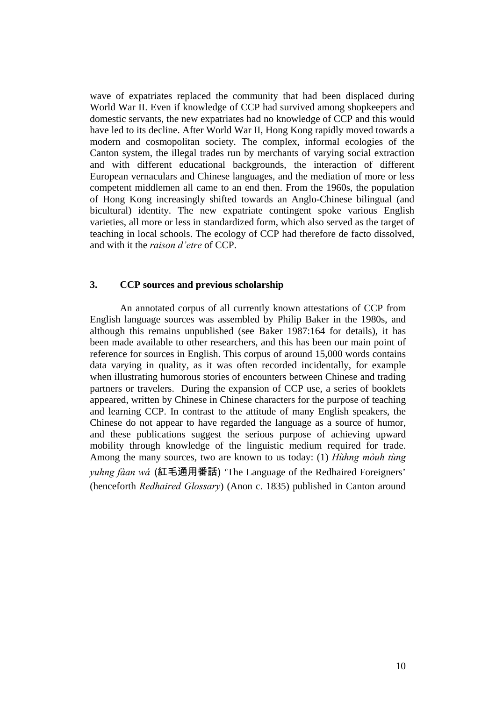wave of expatriates replaced the community that had been displaced during World War II. Even if knowledge of CCP had survived among shopkeepers and domestic servants, the new expatriates had no knowledge of CCP and this would have led to its decline. After World War II, Hong Kong rapidly moved towards a modern and cosmopolitan society. The complex, informal ecologies of the Canton system, the illegal trades run by merchants of varying social extraction and with different educational backgrounds, the interaction of different European vernaculars and Chinese languages, and the mediation of more or less competent middlemen all came to an end then. From the 1960s, the population of Hong Kong increasingly shifted towards an Anglo-Chinese bilingual (and bicultural) identity. The new expatriate contingent spoke various English varieties, all more or less in standardized form, which also served as the target of teaching in local schools. The ecology of CCP had therefore de facto dissolved, and with it the *raison d'etre* of CCP.

## **3. CCP sources and previous scholarship**

An annotated corpus of all currently known attestations of CCP from English language sources was assembled by Philip Baker in the 1980s, and although this remains unpublished (see Baker 1987:164 for details), it has been made available to other researchers, and this has been our main point of reference for sources in English. This corpus of around 15,000 words contains data varying in quality, as it was often recorded incidentally, for example when illustrating humorous stories of encounters between Chinese and trading partners or travelers. During the expansion of CCP use, a series of booklets appeared, written by Chinese in Chinese characters for the purpose of teaching and learning CCP. In contrast to the attitude of many English speakers, the Chinese do not appear to have regarded the language as a source of humor, and these publications suggest the serious purpose of achieving upward mobility through knowledge of the linguistic medium required for trade. Among the many sources, two are known to us today: (1) *Hùhng mòuh tùng yuhng fàan wá* (紅毛通用番話) 'The Language of the Redhaired Foreigners' (henceforth *Redhaired Glossary*) (Anon c. 1835) published in Canton around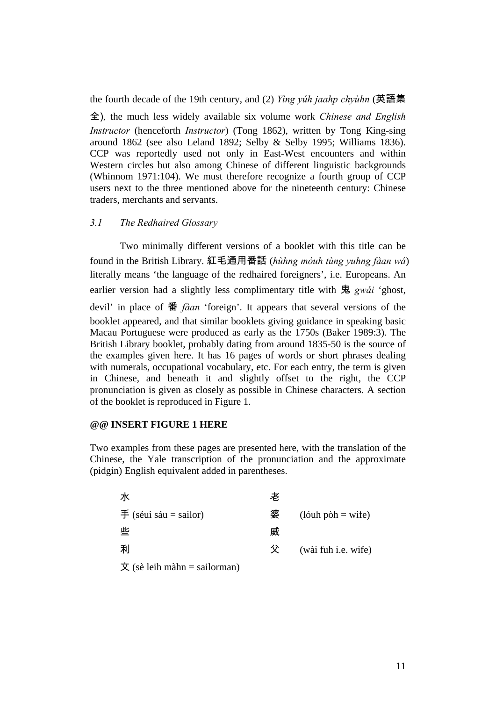the fourth decade of the 19th century, and (2) *Yìng yúh jaahp chyùhn* (英語集

全)*,* the much less widely available six volume work *Chinese and English Instructor* (henceforth *Instructor*) (Tong 1862), written by Tong King-sing around 1862 (see also Leland 1892; Selby & Selby 1995; Williams 1836). CCP was reportedly used not only in East-West encounters and within Western circles but also among Chinese of different linguistic backgrounds (Whinnom 1971:104). We must therefore recognize a fourth group of CCP users next to the three mentioned above for the nineteenth century: Chinese traders, merchants and servants.

## *3.1 The Redhaired Glossary*

Two minimally different versions of a booklet with this title can be found in the British Library. 紅毛通用番話 (*hùhng mòuh tùng yuhng fàan wá*) literally means 'the language of the redhaired foreigners', i.e. Europeans. An earlier version had a slightly less complimentary title with 鬼 *gwái* 'ghost, devil' in place of 番 *fàan* 'foreign'. It appears that several versions of the booklet appeared, and that similar booklets giving guidance in speaking basic Macau Portuguese were produced as early as the 1750s (Baker 1989:3). The British Library booklet, probably dating from around 1835-50 is the source of the examples given here. It has 16 pages of words or short phrases dealing with numerals, occupational vocabulary, etc. For each entry, the term is given in Chinese, and beneath it and slightly offset to the right, the CCP pronunciation is given as closely as possible in Chinese characters. A section of the booklet is reproduced in Figure 1.

## **@@ INSERT FIGURE 1 HERE**

Two examples from these pages are presented here, with the translation of the Chinese, the Yale transcription of the pronunciation and the approximate (pidgin) English equivalent added in parentheses.

| 水                                                  | 老 |                            |
|----------------------------------------------------|---|----------------------------|
| $\pm$ (séui sáu = sailor)                          | 婆 | $(lóuh pòh = wife)$        |
| 些                                                  | 威 |                            |
| 利                                                  | 父 | (wài fuh <i>i.e.</i> wife) |
| $\overline{\mathbf{x}}$ (sè leih màhn = sailorman) |   |                            |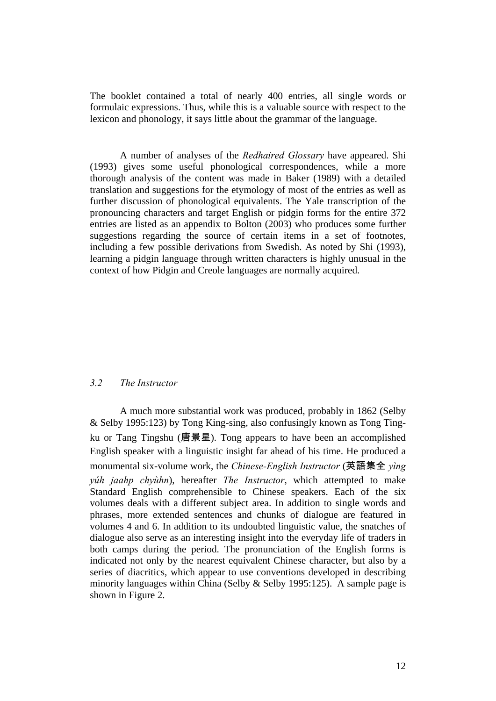The booklet contained a total of nearly 400 entries, all single words or formulaic expressions. Thus, while this is a valuable source with respect to the lexicon and phonology, it says little about the grammar of the language.

 A number of analyses of the *Redhaired Glossary* have appeared. Shi (1993) gives some useful phonological correspondences, while a more thorough analysis of the content was made in Baker (1989) with a detailed translation and suggestions for the etymology of most of the entries as well as further discussion of phonological equivalents. The Yale transcription of the pronouncing characters and target English or pidgin forms for the entire 372 entries are listed as an appendix to Bolton (2003) who produces some further suggestions regarding the source of certain items in a set of footnotes, including a few possible derivations from Swedish. As noted by Shi (1993), learning a pidgin language through written characters is highly unusual in the context of how Pidgin and Creole languages are normally acquired.

## *3.2 The Instructor*

A much more substantial work was produced, probably in 1862 (Selby & Selby 1995:123) by Tong King-sing, also confusingly known as Tong Tingku or Tang Tingshu (唐景星). Tong appears to have been an accomplished English speaker with a linguistic insight far ahead of his time. He produced a monumental six-volume work, the *Chinese-English Instructor* (英語集全 *yìng yúh jaahp chyùhn*), hereafter *The Instructor*, which attempted to make Standard English comprehensible to Chinese speakers. Each of the six volumes deals with a different subject area. In addition to single words and phrases, more extended sentences and chunks of dialogue are featured in volumes 4 and 6. In addition to its undoubted linguistic value, the snatches of dialogue also serve as an interesting insight into the everyday life of traders in both camps during the period. The pronunciation of the English forms is indicated not only by the nearest equivalent Chinese character, but also by a series of diacritics, which appear to use conventions developed in describing minority languages within China (Selby & Selby 1995:125). A sample page is shown in Figure 2.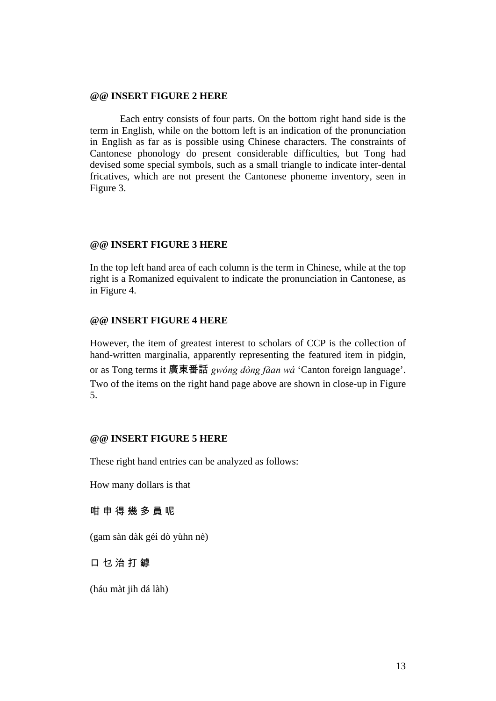## **@@ INSERT FIGURE 2 HERE**

 Each entry consists of four parts. On the bottom right hand side is the term in English, while on the bottom left is an indication of the pronunciation in English as far as is possible using Chinese characters. The constraints of Cantonese phonology do present considerable difficulties, but Tong had devised some special symbols, such as a small triangle to indicate inter-dental fricatives, which are not present the Cantonese phoneme inventory, seen in Figure 3.

## **@@ INSERT FIGURE 3 HERE**

In the top left hand area of each column is the term in Chinese, while at the top right is a Romanized equivalent to indicate the pronunciation in Cantonese, as in Figure 4.

#### **@@ INSERT FIGURE 4 HERE**

However, the item of greatest interest to scholars of CCP is the collection of hand-written marginalia, apparently representing the featured item in pidgin, or as Tong terms it 廣東番話 *gwóng dòng fàan wá* 'Canton foreign language'. Two of the items on the right hand page above are shown in close-up in Figure 5.

## **@@ INSERT FIGURE 5 HERE**

These right hand entries can be analyzed as follows:

How many dollars is that

咁 申 得 幾 多 員 呢

(gam sàn dàk géi dò yùhn nè)

口 乜 治 打 鎼

(háu màt jih dá làh)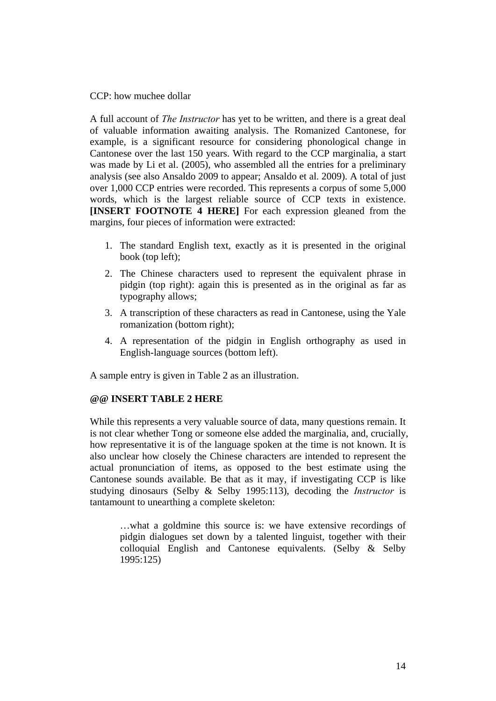CCP: how muchee dollar

A full account of *The Instructor* has yet to be written, and there is a great deal of valuable information awaiting analysis. The Romanized Cantonese, for example, is a significant resource for considering phonological change in Cantonese over the last 150 years. With regard to the CCP marginalia, a start was made by Li et al. (2005), who assembled all the entries for a preliminary analysis (see also Ansaldo 2009 to appear; Ansaldo et al. 2009). A total of just over 1,000 CCP entries were recorded. This represents a corpus of some 5,000 words, which is the largest reliable source of CCP texts in existence. **[INSERT FOOTNOTE 4 HERE]** For each expression gleaned from the margins, four pieces of information were extracted:

- 1. The standard English text, exactly as it is presented in the original book (top left);
- 2. The Chinese characters used to represent the equivalent phrase in pidgin (top right): again this is presented as in the original as far as typography allows;
- 3. A transcription of these characters as read in Cantonese, using the Yale romanization (bottom right);
- 4. A representation of the pidgin in English orthography as used in English-language sources (bottom left).

A sample entry is given in Table 2 as an illustration.

## **@@ INSERT TABLE 2 HERE**

While this represents a very valuable source of data, many questions remain. It is not clear whether Tong or someone else added the marginalia, and, crucially, how representative it is of the language spoken at the time is not known. It is also unclear how closely the Chinese characters are intended to represent the actual pronunciation of items, as opposed to the best estimate using the Cantonese sounds available. Be that as it may, if investigating CCP is like studying dinosaurs (Selby & Selby 1995:113), decoding the *Instructor* is tantamount to unearthing a complete skeleton:

…what a goldmine this source is: we have extensive recordings of pidgin dialogues set down by a talented linguist, together with their colloquial English and Cantonese equivalents. (Selby & Selby 1995:125)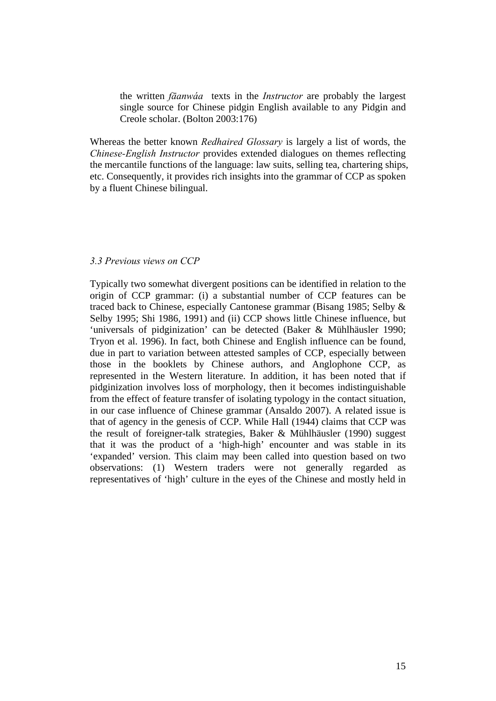the written *fāanwáa* texts in the *Instructor* are probably the largest single source for Chinese pidgin English available to any Pidgin and Creole scholar. (Bolton 2003:176)

Whereas the better known *Redhaired Glossary* is largely a list of words, the *Chinese-English Instructor* provides extended dialogues on themes reflecting the mercantile functions of the language: law suits, selling tea, chartering ships, etc. Consequently, it provides rich insights into the grammar of CCP as spoken by a fluent Chinese bilingual.

## *3.3 Previous views on CCP*

Typically two somewhat divergent positions can be identified in relation to the origin of CCP grammar: (i) a substantial number of CCP features can be traced back to Chinese, especially Cantonese grammar (Bisang 1985; Selby & Selby 1995; Shi 1986, 1991) and (ii) CCP shows little Chinese influence, but 'universals of pidginization' can be detected (Baker & Mühlhäusler 1990; Tryon et al. 1996). In fact, both Chinese and English influence can be found, due in part to variation between attested samples of CCP, especially between those in the booklets by Chinese authors, and Anglophone CCP, as represented in the Western literature. In addition, it has been noted that if pidginization involves loss of morphology, then it becomes indistinguishable from the effect of feature transfer of isolating typology in the contact situation, in our case influence of Chinese grammar (Ansaldo 2007). A related issue is that of agency in the genesis of CCP. While Hall (1944) claims that CCP was the result of foreigner-talk strategies, Baker & Mühlhäusler (1990) suggest that it was the product of a 'high-high' encounter and was stable in its 'expanded' version. This claim may been called into question based on two observations: (1) Western traders were not generally regarded as representatives of 'high' culture in the eyes of the Chinese and mostly held in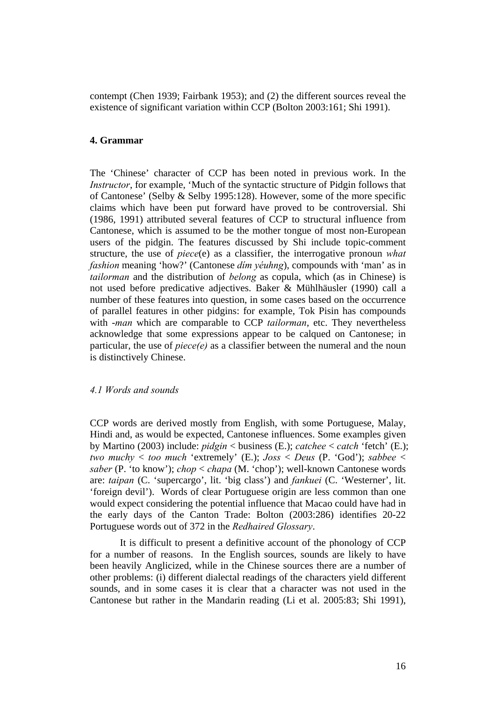contempt (Chen 1939; Fairbank 1953); and (2) the different sources reveal the existence of significant variation within CCP (Bolton 2003:161; Shi 1991).

## **4. Grammar**

The 'Chinese' character of CCP has been noted in previous work. In the *Instructor*, for example, 'Much of the syntactic structure of Pidgin follows that of Cantonese' (Selby & Selby 1995:128). However, some of the more specific claims which have been put forward have proved to be controversial. Shi (1986, 1991) attributed several features of CCP to structural influence from Cantonese, which is assumed to be the mother tongue of most non-European users of the pidgin. The features discussed by Shi include topic-comment structure, the use of *piece*(e) as a classifier, the interrogative pronoun *what fashion* meaning 'how?' (Cantonese *dím yéuhng*), compounds with 'man' as in *tailorman* and the distribution of *belong* as copula, which (as in Chinese) is not used before predicative adjectives. Baker & Mühlhäusler (1990) call a number of these features into question, in some cases based on the occurrence of parallel features in other pidgins: for example, Tok Pisin has compounds with -*man* which are comparable to CCP *tailorman*, etc. They nevertheless acknowledge that some expressions appear to be calqued on Cantonese; in particular, the use of *piece(e)* as a classifier between the numeral and the noun is distinctively Chinese.

## *4.1 Words and sounds*

CCP words are derived mostly from English, with some Portuguese, Malay, Hindi and, as would be expected, Cantonese influences. Some examples given by Martino (2003) include: *pidgin* < business (E.); *catchee* < *catch* 'fetch' (E.); *two muchy* < *too much* 'extremely' (E.); *Joss* < *Deus* (P. 'God'); *sabbee* < *saber* (P. 'to know'); *chop* < *chapa* (M. 'chop'); well-known Cantonese words are: *taipan* (C. 'supercargo', lit. 'big class') and *fankuei* (C. 'Westerner', lit. 'foreign devil'). Words of clear Portuguese origin are less common than one would expect considering the potential influence that Macao could have had in the early days of the Canton Trade: Bolton (2003:286) identifies 20-22 Portuguese words out of 372 in the *Redhaired Glossary*.

 It is difficult to present a definitive account of the phonology of CCP for a number of reasons. In the English sources, sounds are likely to have been heavily Anglicized, while in the Chinese sources there are a number of other problems: (i) different dialectal readings of the characters yield different sounds, and in some cases it is clear that a character was not used in the Cantonese but rather in the Mandarin reading (Li et al. 2005:83; Shi 1991),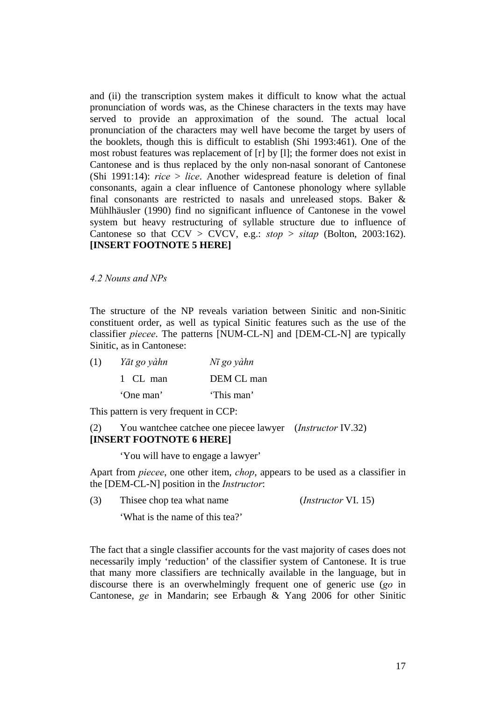and (ii) the transcription system makes it difficult to know what the actual pronunciation of words was, as the Chinese characters in the texts may have served to provide an approximation of the sound. The actual local pronunciation of the characters may well have become the target by users of the booklets, though this is difficult to establish (Shi 1993:461). One of the most robust features was replacement of [r] by [l]; the former does not exist in Cantonese and is thus replaced by the only non-nasal sonorant of Cantonese (Shi 1991:14): *rice* > *lice*. Another widespread feature is deletion of final consonants, again a clear influence of Cantonese phonology where syllable final consonants are restricted to nasals and unreleased stops. Baker & Mühlhäusler (1990) find no significant influence of Cantonese in the vowel system but heavy restructuring of syllable structure due to influence of Cantonese so that CCV > CVCV, e.g.: *stop* > *sitap* (Bolton, 2003:162). **[INSERT FOOTNOTE 5 HERE]** 

## *4.2 Nouns and NPs*

The structure of the NP reveals variation between Sinitic and non-Sinitic constituent order, as well as typical Sinitic features such as the use of the classifier *piecee*. The patterns [NUM-CL-N] and [DEM-CL-N] are typically Sinitic, as in Cantonese:

| (1) | Yāt go yàhn | $N\bar{\iota}$ go yàhn |
|-----|-------------|------------------------|
|     | 1 CL man    | DEM CL man             |
|     | 'One man'   | 'This man'             |

This pattern is very frequent in CCP:

(2) You wantchee catchee one piecee lawyer (*Instructor* IV.32) **[INSERT FOOTNOTE 6 HERE]** 

'You will have to engage a lawyer'

Apart from *piecee*, one other item, *chop*, appears to be used as a classifier in the [DEM-CL-N] position in the *Instructor*:

(3) Thisee chop tea what name (*Instructor* VI. 15)

'What is the name of this tea?'

The fact that a single classifier accounts for the vast majority of cases does not necessarily imply 'reduction' of the classifier system of Cantonese. It is true that many more classifiers are technically available in the language, but in discourse there is an overwhelmingly frequent one of generic use (*go* in Cantonese, *ge* in Mandarin; see Erbaugh & Yang 2006 for other Sinitic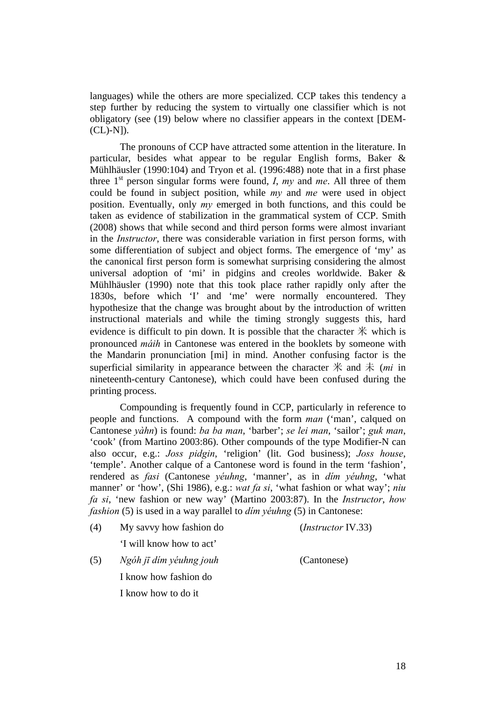languages) while the others are more specialized. CCP takes this tendency a step further by reducing the system to virtually one classifier which is not obligatory (see (19) below where no classifier appears in the context [DEM- (CL)-N]).

 The pronouns of CCP have attracted some attention in the literature. In particular, besides what appear to be regular English forms, Baker & Mühlhäusler (1990:104) and Tryon et al. (1996:488) note that in a first phase three  $1<sup>st</sup>$  person singular forms were found, *I*, *my* and *me*. All three of them could be found in subject position, while *my* and *me* were used in object position. Eventually, only *my* emerged in both functions, and this could be taken as evidence of stabilization in the grammatical system of CCP. Smith (2008) shows that while second and third person forms were almost invariant in the *Instructor*, there was considerable variation in first person forms, with some differentiation of subject and object forms. The emergence of 'my' as the canonical first person form is somewhat surprising considering the almost universal adoption of 'mi' in pidgins and creoles worldwide. Baker & Mühlhäusler (1990) note that this took place rather rapidly only after the 1830s, before which 'I' and 'me' were normally encountered. They hypothesize that the change was brought about by the introduction of written instructional materials and while the timing strongly suggests this, hard evidence is difficult to pin down. It is possible that the character  $\mathcal K$  which is pronounced *máih* in Cantonese was entered in the booklets by someone with the Mandarin pronunciation [mi] in mind. Another confusing factor is the superficial similarity in appearance between the character  $\#$  and  $\#$  (*mi* in nineteenth-century Cantonese), which could have been confused during the printing process.

 Compounding is frequently found in CCP, particularly in reference to people and functions. A compound with the form *man* ('man', calqued on Cantonese *yàhn*) is found: *ba ba man*, 'barber'; *se lei man*, 'sailor'; *guk man*, 'cook' (from Martino 2003:86). Other compounds of the type Modifier-N can also occur, e.g.: *Joss pidgin*, 'religion' (lit. God business); *Joss house*, 'temple'. Another calque of a Cantonese word is found in the term 'fashion', rendered as *fasi* (Cantonese *yéuhng*, 'manner', as in *dím yéuhng*, 'what manner' or 'how', (Shi 1986), e.g.: *wat fa si*, 'what fashion or what way'; *niu fa si*, 'new fashion or new way' (Martino 2003:87). In the *Instructor*, *how fashion* (5) is used in a way parallel to *dím yéuhng* (5) in Cantonese:

(4) My savvy how fashion do (*Instructor* IV.33) 'I will know how to act' (5) *Ngóh jī dím yéuhng jouh* (Cantonese) I know how fashion do I know how to do it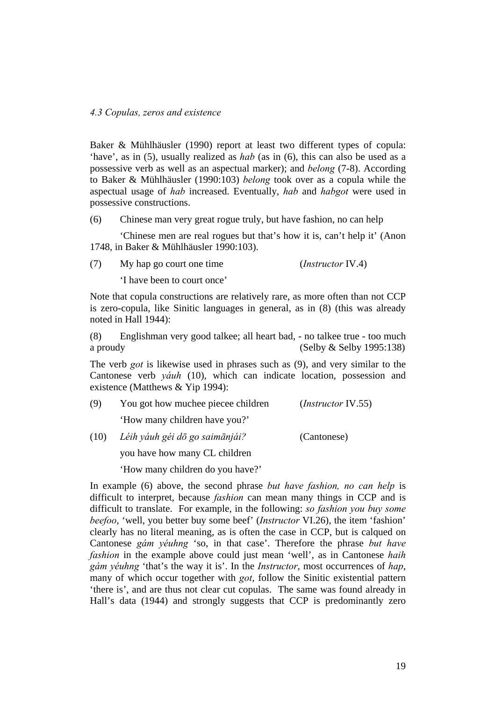## *4.3 Copulas, zeros and existence*

Baker & Mühlhäusler (1990) report at least two different types of copula: 'have', as in (5), usually realized as *hab* (as in (6), this can also be used as a possessive verb as well as an aspectual marker); and *belong* (7-8). According to Baker & Mühlhäusler (1990:103) *belong* took over as a copula while the aspectual usage of *hab* increased. Eventually, *hab* and *habgot* were used in possessive constructions.

(6) Chinese man very great rogue truly, but have fashion, no can help

 'Chinese men are real rogues but that's how it is, can't help it' (Anon 1748, in Baker & Mühlhäusler 1990:103).

(7) My hap go court one time (*Instructor* IV.4)

'I have been to court once'

Note that copula constructions are relatively rare, as more often than not CCP is zero-copula, like Sinitic languages in general, as in (8) (this was already noted in Hall 1944):

(8) Englishman very good talkee; all heart bad, - no talkee true - too much a proudy (Selby & Selby 1995:138)

The verb *got* is likewise used in phrases such as (9), and very similar to the Cantonese verb *yáuh* (10), which can indicate location, possession and existence (Matthews & Yip 1994):

- (9) You got how muchee piecee children (*Instructor* IV.55) 'How many children have you?'
- (10) *Léih yáuh géi dō go saimānjái?* (Cantonese) you have how many CL children

'How many children do you have?'

In example (6) above, the second phrase *but have fashion, no can help* is difficult to interpret, because *fashion* can mean many things in CCP and is difficult to translate. For example, in the following: *so fashion you buy some beefoo*, 'well, you better buy some beef' (*Instructor* VI.26), the item 'fashion' clearly has no literal meaning, as is often the case in CCP, but is calqued on Cantonese *gám yéuhng* 'so, in that case'. Therefore the phrase *but have fashion* in the example above could just mean 'well', as in Cantonese *haih gám yéuhng* 'that's the way it is'. In the *Instructor*, most occurrences of *hap*, many of which occur together with *got*, follow the Sinitic existential pattern 'there is', and are thus not clear cut copulas. The same was found already in Hall's data (1944) and strongly suggests that CCP is predominantly zero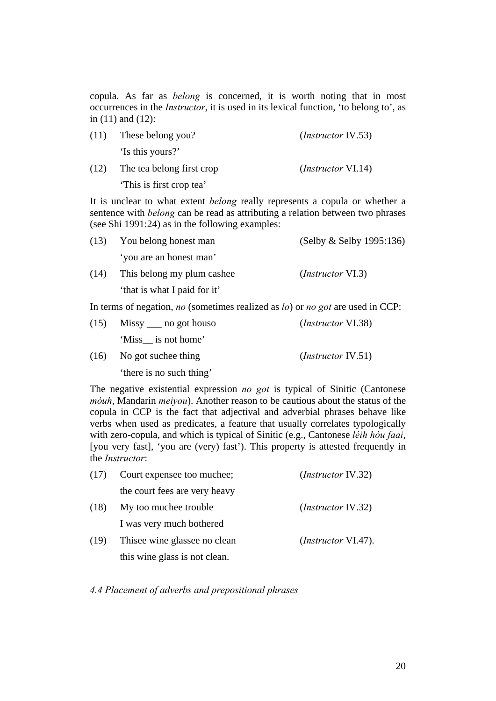copula. As far as *belong* is concerned, it is worth noting that in most occurrences in the *Instructor*, it is used in its lexical function, 'to belong to', as in (11) and (12):

| (11) | These belong you?         | (Instrumentor IV.53) |
|------|---------------------------|----------------------|
|      | 'Is this yours?'          |                      |
| (12) | The tea belong first crop | (Instrumentor VI.14) |
|      | 'This is first crop tea'  |                      |

It is unclear to what extent *belong* really represents a copula or whether a sentence with *belong* can be read as attributing a relation between two phrases (see Shi 1991:24) as in the following examples:

| (13) | You belong honest man        | (Selby & Selby 1995:136) |
|------|------------------------------|--------------------------|
|      | 'you are an honest man'      |                          |
| (14) | This belong my plum cashee   | (Instrumentor VI.3)      |
|      | 'that is what I paid for it' |                          |

In terms of negation, *no* (sometimes realized as *lo*) or *no got* are used in CCP:

| (15) | $Miss \_\_\$ no got houso  | ( <i>Instructor VI.38</i> ) |
|------|----------------------------|-----------------------------|
|      | 'Miss is not home'         |                             |
|      | $(16)$ No got suchee thing | (Instrumentor IV.51)        |
|      | 'there is no such thing'   |                             |

The negative existential expression *no got* is typical of Sinitic (Cantonese *móuh*, Mandarin *meiyou*). Another reason to be cautious about the status of the copula in CCP is the fact that adjectival and adverbial phrases behave like verbs when used as predicates, a feature that usually correlates typologically with zero-copula, and which is typical of Sinitic (e.g., Cantonese *léih hóu faai*, [you very fast], 'you are (very) fast'). This property is attested frequently in the *Instructor*:

| (17) | Court expensee too muchee;    | ( <i>Instructor IV.32</i> )  |
|------|-------------------------------|------------------------------|
|      | the court fees are very heavy |                              |
| (18) | My too muchee trouble         | ( <i>Instructor IV.32</i> )  |
|      | I was very much bothered      |                              |
| (19) | Thisee wine glassee no clean  | ( <i>Instructor VI.47</i> ). |
|      | this wine glass is not clean. |                              |

*4.4 Placement of adverbs and prepositional phrases*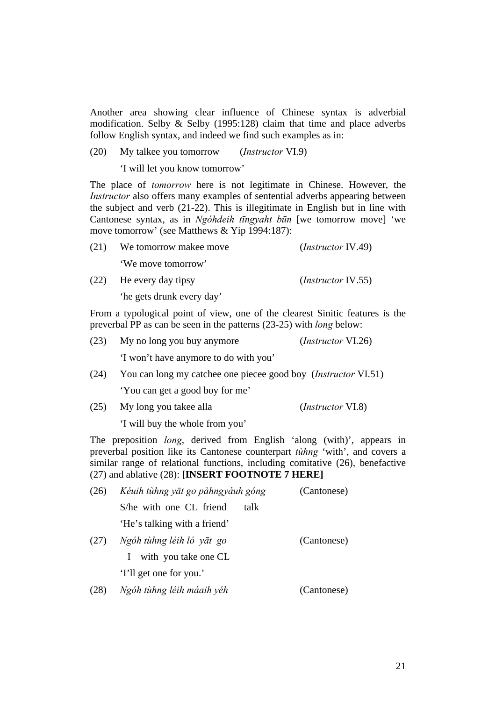Another area showing clear influence of Chinese syntax is adverbial modification. Selby & Selby (1995:128) claim that time and place adverbs follow English syntax, and indeed we find such examples as in:

(20) My talkee you tomorrow(*Instructor* VI.9)

'I will let you know tomorrow'

The place of *tomorrow* here is not legitimate in Chinese. However, the *Instructor* also offers many examples of sentential adverbs appearing between the subject and verb (21-22). This is illegitimate in English but in line with Cantonese syntax, as in *Ngóhdeih tīngyaht būn* [we tomorrow move] 'we move tomorrow' (see Matthews & Yip 1994:187):

| (21) | We tomorrow makee move | (Instrumentor IV.49) |
|------|------------------------|----------------------|
|      | 'We move tomorrow'     |                      |
| (22) | He every day tipsy     | (Instrumentor IV.55) |

'he gets drunk every day'

From a typological point of view, one of the clearest Sinitic features is the preverbal PP as can be seen in the patterns (23-25) with *long* below:

| (23) | My no long you buy anymore            | (Instrumentor VI.26) |
|------|---------------------------------------|----------------------|
|      | 'I won't have anymore to do with you' |                      |

(24) You can long my catchee one piecee good boy (*Instructor* VI.51)

'You can get a good boy for me'

(25) My long you takee alla(*Instructor* VI.8)

'I will buy the whole from you'

The preposition *long*, derived from English 'along (with)', appears in preverbal position like its Cantonese counterpart *tùhng* 'with', and covers a similar range of relational functions, including comitative (26), benefactive (27) and ablative (28): **[INSERT FOOTNOTE 7 HERE]**

| (26) | Kéuih tùhng yāt go pàhngyáuh góng | (Cantonese) |
|------|-----------------------------------|-------------|
|      | S/he with one CL friend<br>talk   |             |
|      | 'He's talking with a friend'      |             |
| (27) | Ngóh tùhng léih ló yāt go         | (Cantonese) |
|      | with you take one CL              |             |
|      | 'I'll get one for you.'           |             |
| (28) | Ngóh tùhng léih máaih yéh         | (Cantonese) |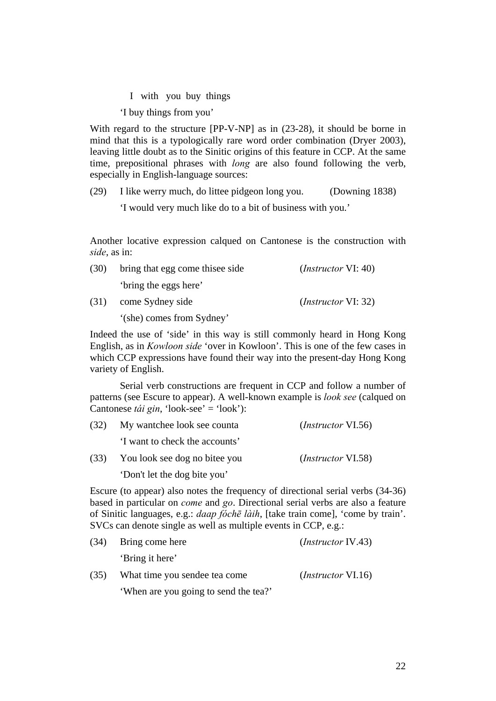I with you buy things

'I buy things from you'

With regard to the structure [PP-V-NP] as in (23-28), it should be borne in mind that this is a typologically rare word order combination (Dryer 2003), leaving little doubt as to the Sinitic origins of this feature in CCP. At the same time, prepositional phrases with *long* are also found following the verb, especially in English-language sources:

(29) I like werry much, do littee pidgeon long you. (Downing 1838) 'I would very much like do to a bit of business with you.'

Another locative expression calqued on Cantonese is the construction with *side*, as in:

| (30) | bring that egg come thise side | (Instrumentor VI: 40) |
|------|--------------------------------|-----------------------|
|      | 'bring the eggs here'          |                       |
| (31) | come Sydney side               | (Instrumentor VI: 32) |

'(she) comes from Sydney'

Indeed the use of 'side' in this way is still commonly heard in Hong Kong English, as in *Kowloon side* 'over in Kowloon'. This is one of the few cases in which CCP expressions have found their way into the present-day Hong Kong variety of English.

 Serial verb constructions are frequent in CCP and follow a number of patterns (see Escure to appear). A well-known example is *look see* (calqued on Cantonese *tái gin*, 'look-see' = 'look'):

| (32) | My wantchee look see counta    | (Instrumentor VI.56)       |
|------|--------------------------------|----------------------------|
|      | 'I want to check the accounts' |                            |
| (33) | You look see dog no bitee you  | ( <i>Instructor</i> VI.58) |
|      | 'Don't let the dog bite you'   |                            |

Escure (to appear) also notes the frequency of directional serial verbs (34-36) based in particular on *come* and *go*. Directional serial verbs are also a feature of Sinitic languages, e.g.: *daap fóchē làih*, [take train come], 'come by train'. SVCs can denote single as well as multiple events in CCP, e.g.:

| (34) | Bring come here                       | (Instrumentor IV.43) |
|------|---------------------------------------|----------------------|
|      | 'Bring it here'                       |                      |
| (35) | What time you sendee tea come         | (Instrumentor VI.16) |
|      | 'When are you going to send the tea?' |                      |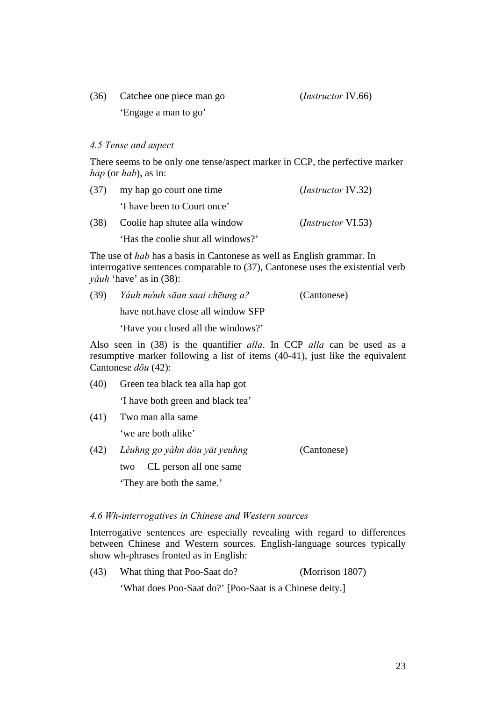(36) Catchee one piece man go (*Instructor* IV.66) 'Engage a man to go'

#### *4.5 Tense and aspect*

There seems to be only one tense/aspect marker in CCP, the perfective marker *hap* (or *hab*), as in:

| (37) | my hap go court one time           | (Instrumentor IV.32) |
|------|------------------------------------|----------------------|
|      | 'I have been to Court once'        |                      |
| (38) | Coolie hap shutee alla window      | (Instrumentor VI.53) |
|      | 'Has the coolie shut all windows?' |                      |

The use of *hab* has a basis in Cantonese as well as English grammar. In interrogative sentences comparable to (37), Cantonese uses the existential verb *yáuh* 'have' as in (38):

(39) *Yáuh móuh sāan saai chēung a?* (Cantonese)

have not.have close all window SFP

'Have you closed all the windows?'

Also seen in (38) is the quantifier *alla*. In CCP *alla* can be used as a resumptive marker following a list of items (40-41), just like the equivalent Cantonese *dōu* (42):

(40) Green tea black tea alla hap got

'I have both green and black tea'

(41) Two man alla same

'we are both alike'

(42) *Léuhng go yàhn dōu yāt yeuhng* (Cantonese) two CL person all one same 'They are both the same.'

## *4.6 Wh-interrogatives in Chinese and Western sources*

Interrogative sentences are especially revealing with regard to differences between Chinese and Western sources. English-language sources typically show wh-phrases fronted as in English:

(43) What thing that Poo-Saat do? (Morrison 1807)

'What does Poo-Saat do?' [Poo-Saat is a Chinese deity.]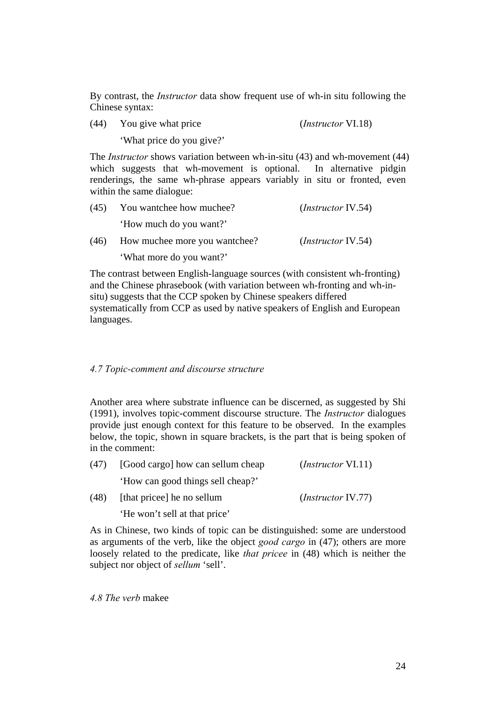By contrast, the *Instructor* data show frequent use of wh-in situ following the Chinese syntax:

(44) You give what price(*Instructor* VI.18)

'What price do you give?'

The *Instructor* shows variation between wh-in-situ (43) and wh-movement (44) which suggests that wh-movement is optional. In alternative pidgin renderings, the same wh-phrase appears variably in situ or fronted, even within the same dialogue:

| (45) | You wantchee how muchee?      | (Instrumentor IV.54) |  |
|------|-------------------------------|----------------------|--|
|      | 'How much do you want?'       |                      |  |
| (46) | How muchee more you wantchee? | (Instrumentor IV.54) |  |
|      | 'What more do you want?'      |                      |  |

The contrast between English-language sources (with consistent wh-fronting) and the Chinese phrasebook (with variation between wh-fronting and wh-insitu) suggests that the CCP spoken by Chinese speakers differed systematically from CCP as used by native speakers of English and European languages.

## *4.7 Topic-comment and discourse structure*

Another area where substrate influence can be discerned, as suggested by Shi (1991), involves topic-comment discourse structure. The *Instructor* dialogues provide just enough context for this feature to be observed. In the examples below, the topic, shown in square brackets, is the part that is being spoken of in the comment:

| (47) | [Good cargo] how can sellum cheap | (Instrumentor VI.11) |  |
|------|-----------------------------------|----------------------|--|
|      | 'How can good things sell cheap?' |                      |  |
| (48) | [that price] he no sellum         | (Instrumentor IV.77) |  |

'He won't sell at that price'

As in Chinese, two kinds of topic can be distinguished: some are understood as arguments of the verb, like the object *good cargo* in (47); others are more loosely related to the predicate, like *that pricee* in (48) which is neither the subject nor object of *sellum* 'sell'.

## *4.8 The verb* makee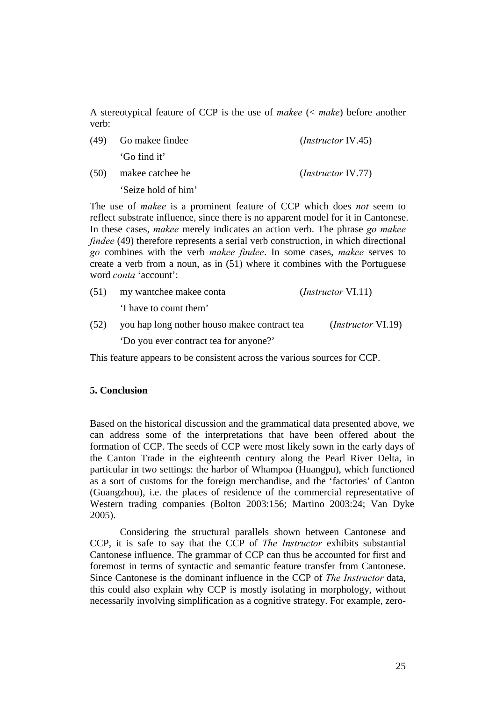A stereotypical feature of CCP is the use of *makee* (< *make*) before another verb:

| (49) | Go makee findee     | (Instrumentor IV.45) |
|------|---------------------|----------------------|
|      | 'Go find it'        |                      |
| (50) | makee catchee he    | (Instrumentor IV.77) |
|      | 'Seize hold of him' |                      |

The use of *makee* is a prominent feature of CCP which does *not* seem to reflect substrate influence, since there is no apparent model for it in Cantonese. In these cases, *makee* merely indicates an action verb. The phrase *go makee findee* (49) therefore represents a serial verb construction, in which directional *go* combines with the verb *makee findee*. In some cases, *makee* serves to create a verb from a noun, as in (51) where it combines with the Portuguese word *conta* 'account':

| (51) my wantchee makee conta | (Instrumentor VI.11) |
|------------------------------|----------------------|
| I have to count them'        |                      |

(52) you hap long nother houso makee contract tea (*Instructor* VI.19)

'Do you ever contract tea for anyone?'

This feature appears to be consistent across the various sources for CCP.

## **5. Conclusion**

Based on the historical discussion and the grammatical data presented above, we can address some of the interpretations that have been offered about the formation of CCP. The seeds of CCP were most likely sown in the early days of the Canton Trade in the eighteenth century along the Pearl River Delta, in particular in two settings: the harbor of Whampoa (Huangpu), which functioned as a sort of customs for the foreign merchandise, and the 'factories' of Canton (Guangzhou), i.e. the places of residence of the commercial representative of Western trading companies (Bolton 2003:156; Martino 2003:24; Van Dyke 2005).

 Considering the structural parallels shown between Cantonese and CCP, it is safe to say that the CCP of *The Instructor* exhibits substantial Cantonese influence. The grammar of CCP can thus be accounted for first and foremost in terms of syntactic and semantic feature transfer from Cantonese. Since Cantonese is the dominant influence in the CCP of *The Instructor* data, this could also explain why CCP is mostly isolating in morphology, without necessarily involving simplification as a cognitive strategy. For example, zero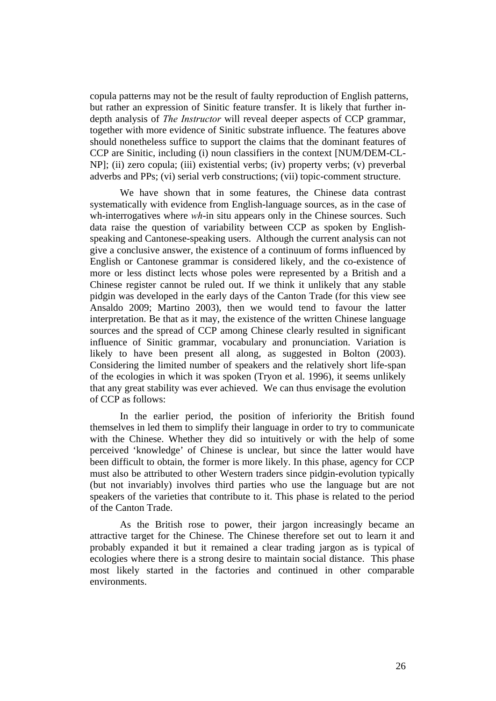copula patterns may not be the result of faulty reproduction of English patterns, but rather an expression of Sinitic feature transfer. It is likely that further indepth analysis of *The Instructor* will reveal deeper aspects of CCP grammar, together with more evidence of Sinitic substrate influence. The features above should nonetheless suffice to support the claims that the dominant features of CCP are Sinitic, including (i) noun classifiers in the context [NUM/DEM-CL-NP]; (ii) zero copula; (iii) existential verbs; (iv) property verbs; (v) preverbal adverbs and PPs; (vi) serial verb constructions; (vii) topic-comment structure.

 We have shown that in some features, the Chinese data contrast systematically with evidence from English-language sources, as in the case of wh-interrogatives where *wh*-in situ appears only in the Chinese sources. Such data raise the question of variability between CCP as spoken by Englishspeaking and Cantonese-speaking users. Although the current analysis can not give a conclusive answer, the existence of a continuum of forms influenced by English or Cantonese grammar is considered likely, and the co-existence of more or less distinct lects whose poles were represented by a British and a Chinese register cannot be ruled out. If we think it unlikely that any stable pidgin was developed in the early days of the Canton Trade (for this view see Ansaldo 2009; Martino 2003), then we would tend to favour the latter interpretation. Be that as it may, the existence of the written Chinese language sources and the spread of CCP among Chinese clearly resulted in significant influence of Sinitic grammar, vocabulary and pronunciation. Variation is likely to have been present all along, as suggested in Bolton (2003). Considering the limited number of speakers and the relatively short life-span of the ecologies in which it was spoken (Tryon et al. 1996), it seems unlikely that any great stability was ever achieved. We can thus envisage the evolution of CCP as follows:

 In the earlier period, the position of inferiority the British found themselves in led them to simplify their language in order to try to communicate with the Chinese. Whether they did so intuitively or with the help of some perceived 'knowledge' of Chinese is unclear, but since the latter would have been difficult to obtain, the former is more likely. In this phase, agency for CCP must also be attributed to other Western traders since pidgin-evolution typically (but not invariably) involves third parties who use the language but are not speakers of the varieties that contribute to it. This phase is related to the period of the Canton Trade.

 As the British rose to power, their jargon increasingly became an attractive target for the Chinese. The Chinese therefore set out to learn it and probably expanded it but it remained a clear trading jargon as is typical of ecologies where there is a strong desire to maintain social distance. This phase most likely started in the factories and continued in other comparable environments.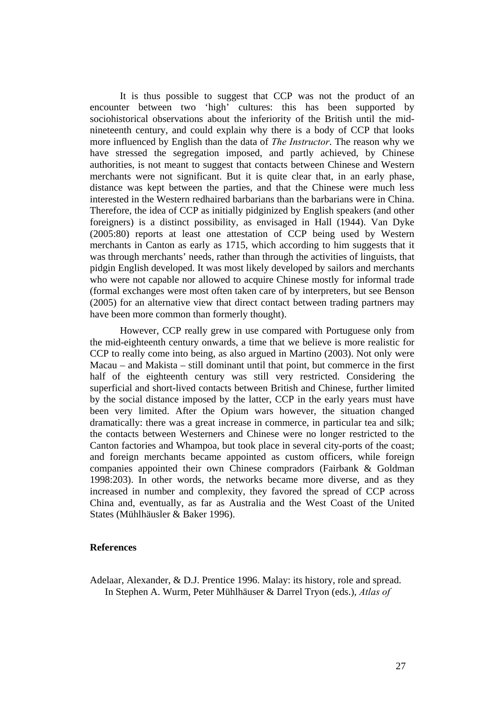It is thus possible to suggest that CCP was not the product of an encounter between two 'high' cultures: this has been supported by sociohistorical observations about the inferiority of the British until the midnineteenth century, and could explain why there is a body of CCP that looks more influenced by English than the data of *The Instructor*. The reason why we have stressed the segregation imposed, and partly achieved, by Chinese authorities, is not meant to suggest that contacts between Chinese and Western merchants were not significant. But it is quite clear that, in an early phase, distance was kept between the parties, and that the Chinese were much less interested in the Western redhaired barbarians than the barbarians were in China. Therefore, the idea of CCP as initially pidginized by English speakers (and other foreigners) is a distinct possibility, as envisaged in Hall (1944). Van Dyke (2005:80) reports at least one attestation of CCP being used by Western merchants in Canton as early as 1715, which according to him suggests that it was through merchants' needs, rather than through the activities of linguists, that pidgin English developed. It was most likely developed by sailors and merchants who were not capable nor allowed to acquire Chinese mostly for informal trade (formal exchanges were most often taken care of by interpreters, but see Benson (2005) for an alternative view that direct contact between trading partners may have been more common than formerly thought).

 However, CCP really grew in use compared with Portuguese only from the mid-eighteenth century onwards, a time that we believe is more realistic for CCP to really come into being, as also argued in Martino (2003). Not only were Macau – and Makista – still dominant until that point, but commerce in the first half of the eighteenth century was still very restricted. Considering the superficial and short-lived contacts between British and Chinese, further limited by the social distance imposed by the latter, CCP in the early years must have been very limited. After the Opium wars however, the situation changed dramatically: there was a great increase in commerce, in particular tea and silk; the contacts between Westerners and Chinese were no longer restricted to the Canton factories and Whampoa, but took place in several city-ports of the coast; and foreign merchants became appointed as custom officers, while foreign companies appointed their own Chinese compradors (Fairbank & Goldman 1998:203). In other words, the networks became more diverse, and as they increased in number and complexity, they favored the spread of CCP across China and, eventually, as far as Australia and the West Coast of the United States (Mühlhäusler & Baker 1996).

## **References**

Adelaar, Alexander, & D.J. Prentice 1996. Malay: its history, role and spread. In Stephen A. Wurm, Peter Mühlhäuser & Darrel Tryon (eds.), *Atlas of*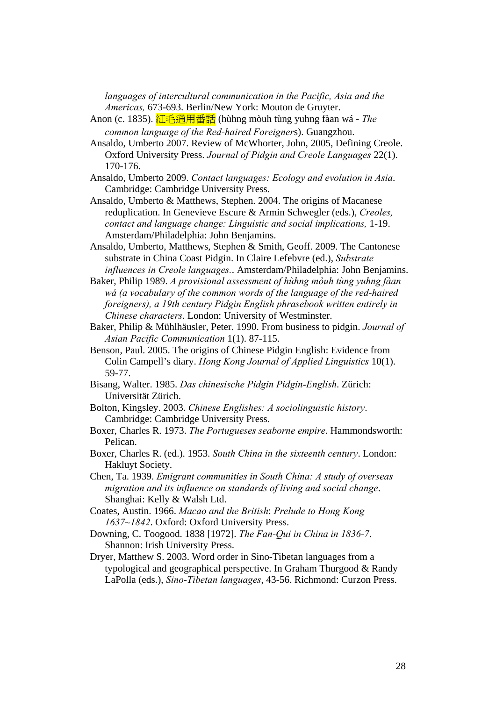*languages of intercultural communication in the Pacific, Asia and the Americas,* 673-693. Berlin/New York: Mouton de Gruyter.

- Anon (c. 1835). 紅毛通用番話 (hùhng mòuh tùng yuhng fàan wá *The common language of the Red-haired Foreigner*s). Guangzhou.
- Ansaldo, Umberto 2007. Review of McWhorter, John, 2005, Defining Creole. Oxford University Press. *Journal of Pidgin and Creole Languages* 22(1). 170-176.
- Ansaldo, Umberto 2009. *Contact languages: Ecology and evolution in Asia*. Cambridge: Cambridge University Press.
- Ansaldo, Umberto & Matthews, Stephen. 2004. The origins of Macanese reduplication. In Genevieve Escure & Armin Schwegler (eds.), *Creoles, contact and language change: Linguistic and social implications,* 1-19. Amsterdam/Philadelphia: John Benjamins.
- Ansaldo, Umberto, Matthews, Stephen & Smith, Geoff. 2009. The Cantonese substrate in China Coast Pidgin. In Claire Lefebvre (ed.), *Substrate influences in Creole languages.*. Amsterdam/Philadelphia: John Benjamins.
- Baker, Philip 1989. *A provisional assessment of hùhng mòuh tùng yuhng fàan wá (a vocabulary of the common words of the language of the red-haired foreigners), a 19th century Pidgin English phrasebook written entirely in Chinese characters*. London: University of Westminster.
- Baker, Philip & Mühlhäusler, Peter. 1990. From business to pidgin. *Journal of Asian Pacific Communication* 1(1). 87-115.
- Benson, Paul. 2005. The origins of Chinese Pidgin English: Evidence from Colin Campell's diary. *Hong Kong Journal of Applied Linguistics* 10(1). 59-77.
- Bisang, Walter. 1985. *Das chinesische Pidgin Pidgin-English*. Zürich: Universität Zürich.
- Bolton, Kingsley. 2003. *Chinese Englishes: A sociolinguistic history*. Cambridge: Cambridge University Press.
- Boxer, Charles R. 1973. *The Portugueses seaborne empire*. Hammondsworth: Pelican.
- Boxer, Charles R. (ed.). 1953. *South China in the sixteenth century*. London: Hakluyt Society.
- Chen, Ta. 1939. *Emigrant communities in South China: A study of overseas migration and its influence on standards of living and social change*. Shanghai: Kelly & Walsh Ltd.
- Coates, Austin. 1966. *Macao and the British*: *Prelude to Hong Kong 1637~1842*. Oxford: Oxford University Press.
- Downing, C. Toogood. 1838 [1972]. *The Fan-Qui in China in 1836-7*. Shannon: Irish University Press.
- Dryer, Matthew S. 2003. Word order in Sino-Tibetan languages from a typological and geographical perspective. In Graham Thurgood & Randy LaPolla (eds.), *Sino-Tibetan languages*, 43-56. Richmond: Curzon Press.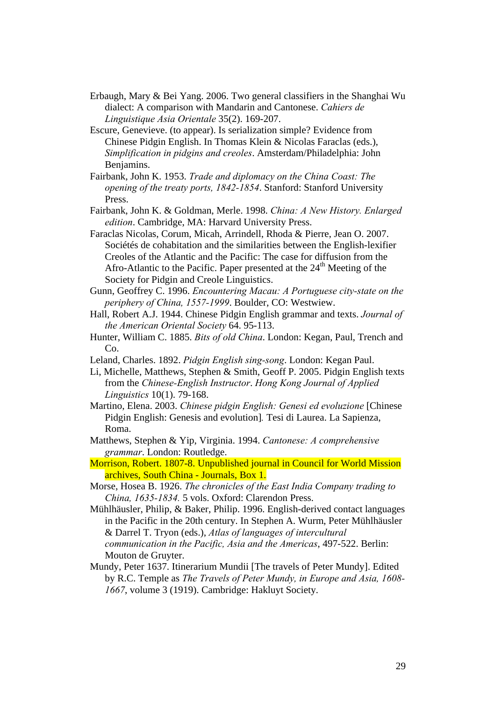- Erbaugh, Mary & Bei Yang. 2006. Two general classifiers in the Shanghai Wu dialect: A comparison with Mandarin and Cantonese. *Cahiers de Linguistique Asia Orientale* 35(2). 169-207.
- Escure, Genevieve. (to appear). Is serialization simple? Evidence from Chinese Pidgin English. In Thomas Klein & Nicolas Faraclas (eds.), *Simplification in pidgins and creoles*. Amsterdam/Philadelphia: John Benjamins.
- Fairbank, John K. 1953. *Trade and diplomacy on the China Coast: The opening of the treaty ports, 1842-1854*. Stanford: Stanford University Press.
- Fairbank, John K. & Goldman, Merle. 1998. *China: A New History. Enlarged edition*. Cambridge, MA: Harvard University Press.
- Faraclas Nicolas, Corum, Micah, Arrindell, Rhoda & Pierre, Jean O. 2007. Sociétés de cohabitation and the similarities between the English-lexifier Creoles of the Atlantic and the Pacific: The case for diffusion from the Afro-Atlantic to the Pacific. Paper presented at the  $24<sup>th</sup>$  Meeting of the Society for Pidgin and Creole Linguistics.
- Gunn, Geoffrey C. 1996. *Encountering Macau: A Portuguese city-state on the periphery of China, 1557-1999*. Boulder, CO: Westwiew.
- Hall, Robert A.J. 1944. Chinese Pidgin English grammar and texts. *Journal of the American Oriental Society* 64. 95-113.
- Hunter, William C. 1885. *Bits of old China*. London: Kegan, Paul, Trench and Co.
- Leland, Charles. 1892. *Pidgin English sing-song*. London: Kegan Paul.
- Li, Michelle, Matthews, Stephen & Smith, Geoff P. 2005. Pidgin English texts from the *Chinese-English Instructor*. *Hong Kong Journal of Applied Linguistics* 10(1). 79-168.
- Martino, Elena. 2003. *Chinese pidgin English: Genesi ed evoluzione* [Chinese Pidgin English: Genesis and evolution]*.* Tesi di Laurea. La Sapienza, Roma.
- Matthews, Stephen & Yip, Virginia. 1994. *Cantonese: A comprehensive grammar*. London: Routledge.
- Morrison, Robert. 1807-8. Unpublished journal in Council for World Mission archives, South China - Journals, Box 1.
- Morse, Hosea B. 1926. *The chronicles of the East India Company trading to China, 1635-1834.* 5 vols. Oxford: Clarendon Press.
- Mühlhäusler, Philip, & Baker, Philip. 1996. English-derived contact languages in the Pacific in the 20th century. In Stephen A. Wurm, Peter Mühlhäusler & Darrel T. Tryon (eds.), *Atlas of languages of intercultural communication in the Pacific, Asia and the Americas*, 497-522. Berlin: Mouton de Gruyter.
- Mundy, Peter 1637. Itinerarium Mundii [The travels of Peter Mundy]. Edited by R.C. Temple as *The Travels of Peter Mundy, in Europe and Asia, 1608- 1667*, volume 3 (1919). Cambridge: Hakluyt Society.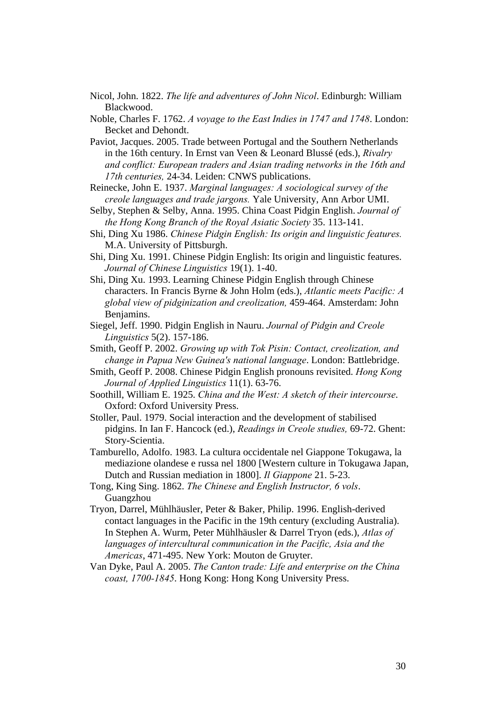- Nicol, John. 1822. *The life and adventures of John Nicol*. Edinburgh: William Blackwood.
- Noble, Charles F. 1762. *A voyage to the East Indies in 1747 and 1748*. London: Becket and Dehondt.
- Paviot, Jacques. 2005. Trade between Portugal and the Southern Netherlands in the 16th century. In Ernst van Veen & Leonard Blussé (eds.), *Rivalry and conflict: European traders and Asian trading networks in the 16th and 17th centuries,* 24-34. Leiden: CNWS publications.
- Reinecke, John E. 1937. *Marginal languages: A sociological survey of the creole languages and trade jargons.* Yale University, Ann Arbor UMI.
- Selby, Stephen & Selby, Anna. 1995. China Coast Pidgin English. *Journal of the Hong Kong Branch of the Royal Asiatic Society* 35. 113-141.
- Shi, Ding Xu 1986. *Chinese Pidgin English: Its origin and linguistic features.* M.A. University of Pittsburgh.
- Shi, Ding Xu. 1991. Chinese Pidgin English: Its origin and linguistic features. *Journal of Chinese Linguistics* 19(1). 1-40.
- Shi, Ding Xu. 1993. Learning Chinese Pidgin English through Chinese characters. In Francis Byrne & John Holm (eds.), *Atlantic meets Pacific: A global view of pidginization and creolization,* 459-464. Amsterdam: John Benjamins.
- Siegel, Jeff. 1990. Pidgin English in Nauru. *Journal of Pidgin and Creole Linguistics* 5(2). 157-186.
- Smith, Geoff P. 2002. *Growing up with Tok Pisin: Contact, creolization, and change in Papua New Guinea's national language*. London: Battlebridge.
- Smith, Geoff P. 2008. Chinese Pidgin English pronouns revisited. *Hong Kong Journal of Applied Linguistics* 11(1). 63-76.
- Soothill, William E. 1925. *China and the West: A sketch of their intercourse*. Oxford: Oxford University Press.
- Stoller, Paul. 1979. Social interaction and the development of stabilised pidgins. In Ian F. Hancock (ed.), *Readings in Creole studies,* 69-72. Ghent: Story-Scientia.
- Tamburello, Adolfo. 1983. La cultura occidentale nel Giappone Tokugawa, la mediazione olandese e russa nel 1800 [Western culture in Tokugawa Japan, Dutch and Russian mediation in 1800]. *Il Giappone* 21. 5-23.
- Tong, King Sing. 1862. *The Chinese and English Instructor, 6 vols*. Guangzhou
- Tryon, Darrel, Mühlhäusler, Peter & Baker, Philip. 1996. English-derived contact languages in the Pacific in the 19th century (excluding Australia). In Stephen A. Wurm, Peter Mühlhäusler & Darrel Tryon (eds.), *Atlas of languages of intercultural communication in the Pacific, Asia and the Americas*, 471-495. New York: Mouton de Gruyter.
- Van Dyke, Paul A. 2005. *The Canton trade: Life and enterprise on the China coast, 1700-1845*. Hong Kong: Hong Kong University Press.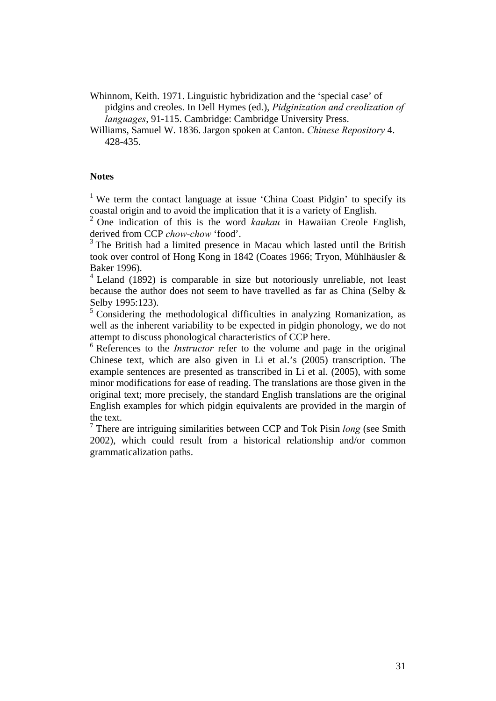Whinnom, Keith. 1971. Linguistic hybridization and the 'special case' of pidgins and creoles. In Dell Hymes (ed.), *Pidginization and creolization of languages*, 91-115. Cambridge: Cambridge University Press.

Williams, Samuel W. 1836. Jargon spoken at Canton. *Chinese Repository* 4. 428-435.

## **Notes**

<sup>1</sup> We term the contact language at issue 'China Coast Pidgin' to specify its coastal origin and to avoid the implication that it is a variety of English.

2 One indication of this is the word *kaukau* in Hawaiian Creole English, derived from CCP *chow-chow* 'food'.

 $3$  The British had a limited presence in Macau which lasted until the British took over control of Hong Kong in 1842 (Coates 1966; Tryon, Mühlhäusler & Baker 1996).

 $4$  Leland (1892) is comparable in size but notoriously unreliable, not least because the author does not seem to have travelled as far as China (Selby & Selby 1995:123).

5 Considering the methodological difficulties in analyzing Romanization, as well as the inherent variability to be expected in pidgin phonology, we do not attempt to discuss phonological characteristics of CCP here.

6 References to the *Instructor* refer to the volume and page in the original Chinese text, which are also given in Li et al.'s (2005) transcription. The example sentences are presented as transcribed in Li et al. (2005), with some minor modifications for ease of reading. The translations are those given in the original text; more precisely, the standard English translations are the original English examples for which pidgin equivalents are provided in the margin of the text.

7 There are intriguing similarities between CCP and Tok Pisin *long* (see Smith 2002), which could result from a historical relationship and/or common grammaticalization paths.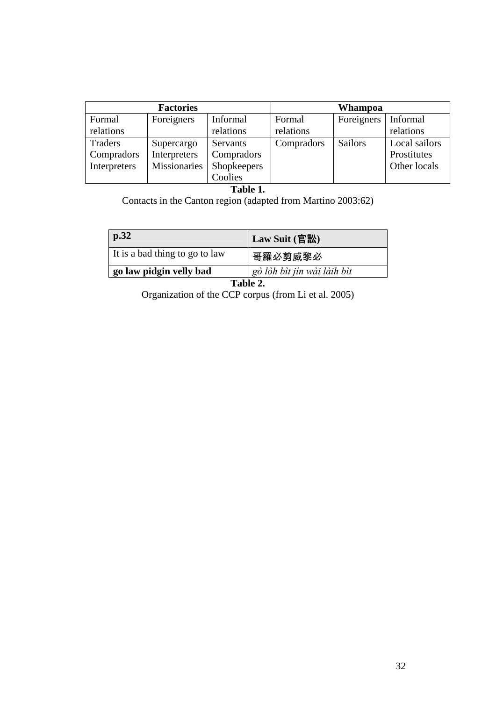| <b>Factories</b> |                     |             | Whampoa    |                |               |
|------------------|---------------------|-------------|------------|----------------|---------------|
| Formal           | Foreigners          | Informal    | Formal     | Foreigners     | Informal      |
| relations        |                     | relations   | relations  |                | relations     |
| Traders          | Supercargo          | Servants    | Compradors | <b>Sailors</b> | Local sailors |
| Compradors       | Interpreters        | Compradors  |            |                | Prostitutes   |
| Interpreters     | <b>Missionaries</b> | Shopkeepers |            |                | Other locals  |
|                  |                     | Coolies     |            |                |               |

# **Table 1.**

Contacts in the Canton region (adapted from Martino 2003:62)

| p.32                                                   | Law Suit $(\mathbf{\hat{\mathbb{E}}}^{\mathbf{\hat{\mathbb{E}}}})$ |  |  |
|--------------------------------------------------------|--------------------------------------------------------------------|--|--|
| It is a bad thing to go to law                         | 哥羅必剪威黎必                                                            |  |  |
| gò lòh bìt jín wài làih bìt<br>go law pidgin velly bad |                                                                    |  |  |
| Table 2.                                               |                                                                    |  |  |

Organization of the CCP corpus (from Li et al. 2005)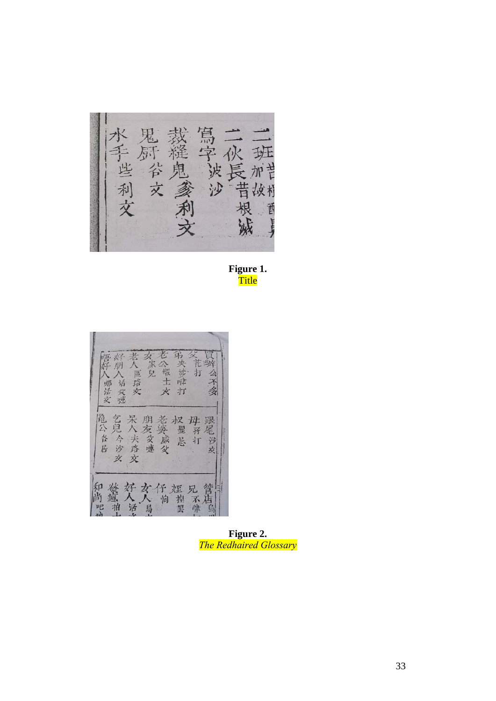

**Figure 1. Title** 



**Figure 2.**  *The Redhaired Glossary*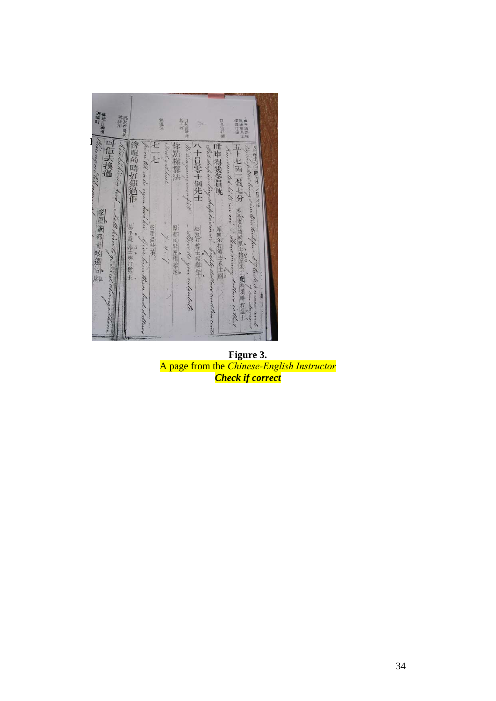| 其廷光布可                                           |                                         | 存温度                                     | 其干打                                   | 口包治打裂<br>深国口道<br>風地施水                                                                                              |                                                                    |
|-------------------------------------------------|-----------------------------------------|-----------------------------------------|---------------------------------------|--------------------------------------------------------------------------------------------------------------------|--------------------------------------------------------------------|
| I<br>四化去换過<br>hangerithey<br>been hie hier been | 像呢的晤好銀過作<br>provided mbe ugan kuro hu-  | $\frac{1}{1}$<br>你點樣算法<br>Doub you have | ni tim young our fall<br>八十員零十個先士     | 咁申得幾多員呢<br>五十七両二錢七分 為意進填標厚主地原未主國些填叫打運工,                                                                            | うごはセンゴ 堅める コノトド スイ                                                 |
|                                                 | 些男温些境                                   |                                         |                                       | Act chap in ling shop ho since - beghty dollare and ton cint<br>homestere to be to in me - How many sultime as the | /2 short trine linner view telor teach from a Theodor it waves and |
| <b>嗲厘謙都哥喽遇治店</b><br>Jell him to go and when     | 基乎謙 逃士坚打劈士<br>Give him then bad dollars | 厚都氏騎厘橋黎地<br>7. 1. 7                     | - Three do you eaterdate<br>经地打葬士吸碱洗士 | 厚面尔打转士友士刚 。                                                                                                        |                                                                    |
| Î                                               |                                         |                                         |                                       |                                                                                                                    | Carrelander                                                        |

**Figure 3.**  A page from the *Chinese-English Instructor Check if correct*